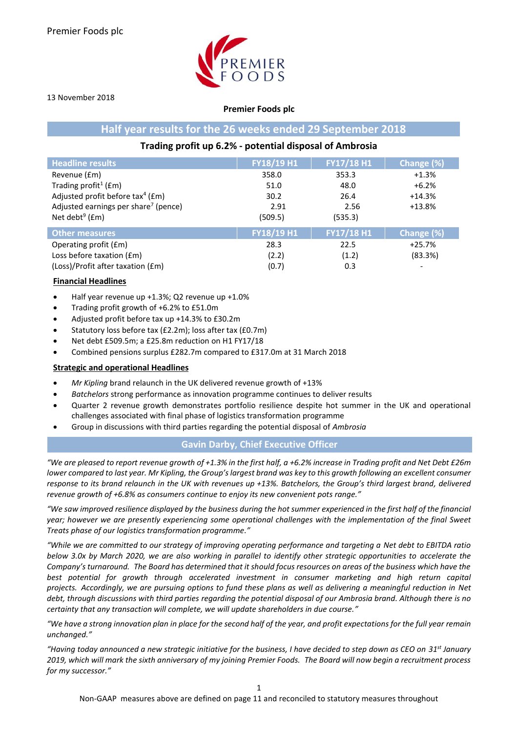

#### 13 November 2018

#### **Premier Foods plc**

# **Half year results for the 26 weeks ended 29 September 2018**

## **Trading profit up 6.2% - potential disposal of Ambrosia**

| <b>Headline results</b>                          | FY18/19 H1 | FY17/18 H1 | Change (%) |
|--------------------------------------------------|------------|------------|------------|
| Revenue (£m)                                     | 358.0      | 353.3      | $+1.3%$    |
| Trading profit <sup>1</sup> ( $Em$ )             | 51.0       | 48.0       | $+6.2%$    |
| Adjusted profit before tax <sup>4</sup> ( $Em$ ) | 30.2       | 26.4       | $+14.3%$   |
| Adjusted earnings per share <sup>7</sup> (pence) | 2.91       | 2.56       | $+13.8%$   |
| Net debt <sup>9</sup> ( $Em$ )                   | (509.5)    | (535.3)    |            |
| <b>Other measures</b>                            | FY18/19 H1 | FY17/18 H1 | Change (%) |
| Operating profit (£m)                            | 28.3       | 22.5       | $+25.7%$   |
| Loss before taxation (£m)                        | (2.2)      | (1.2)      | (83.3%)    |
| (Loss)/Profit after taxation (£m)                | (0.7)      | 0.3        |            |

#### **Financial Headlines**

- Half year revenue up +1.3%; Q2 revenue up +1.0%
- Trading profit growth of +6.2% to £51.0m
- Adjusted profit before tax up +14.3% to £30.2m
- Statutory loss before tax (£2.2m); loss after tax (£0.7m)
- Net debt £509.5m; a £25.8m reduction on H1 FY17/18
- Combined pensions surplus £282.7m compared to £317.0m at 31 March 2018

#### **Strategic and operational Headlines**

- *Mr Kipling* brand relaunch in the UK delivered revenue growth of +13%
- *Batchelors* strong performance as innovation programme continues to deliver results
- Quarter 2 revenue growth demonstrates portfolio resilience despite hot summer in the UK and operational challenges associated with final phase of logistics transformation programme
- Group in discussions with third parties regarding the potential disposal of *Ambrosia*

#### **Gavin Darby, Chief Executive Officer**

*"We are pleased to report revenue growth of +1.3% in the first half, a +6.2% increase in Trading profit and Net Debt £26m lower compared to last year. Mr Kipling, the Group's largest brand was key to this growth following an excellent consumer response to its brand relaunch in the UK with revenues up +13%. Batchelors, the Group's third largest brand, delivered revenue growth of +6.8% as consumers continue to enjoy its new convenient pots range."*

*"We saw improved resilience displayed by the business during the hot summer experienced in the first half of the financial year; however we are presently experiencing some operational challenges with the implementation of the final Sweet Treats phase of our logistics transformation programme."*

*"While we are committed to our strategy of improving operating performance and targeting a Net debt to EBITDA ratio below 3.0x by March 2020, we are also working in parallel to identify other strategic opportunities to accelerate the Company's turnaround. The Board has determined that it should focus resources on areas of the business which have the best potential for growth through accelerated investment in consumer marketing and high return capital projects. Accordingly, we are pursuing options to fund these plans as well as delivering a meaningful reduction in Net debt, through discussions with third parties regarding the potential disposal of our Ambrosia brand. Although there is no certainty that any transaction will complete, we will update shareholders in due course."*

*"We have a strong innovation plan in place for the second half of the year, and profit expectations for the full year remain unchanged."*

*"Having today announced a new strategic initiative for the business, I have decided to step down as CEO on 31 st January 2019, which will mark the sixth anniversary of my joining Premier Foods. The Board will now begin a recruitment process for my successor."*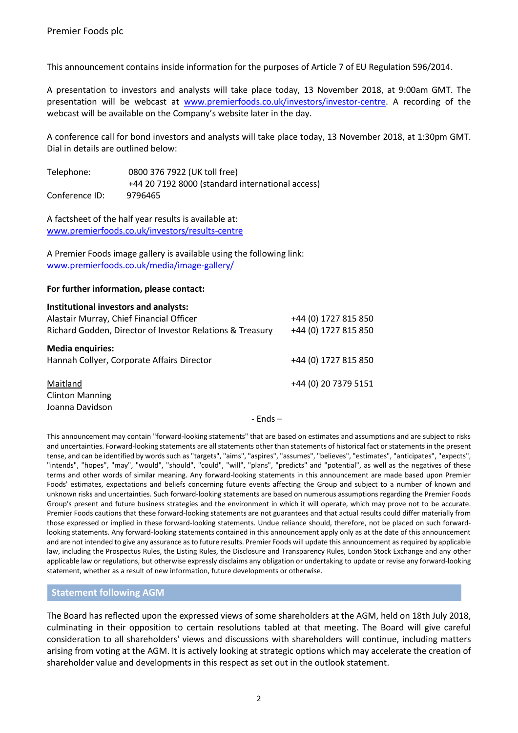This announcement contains inside information for the purposes of Article 7 of EU Regulation 596/2014.

A presentation to investors and analysts will take place today, 13 November 2018, at 9:00am GMT. The presentation will be webcast at [www.premierfoods.co.uk/investors/investor-centre.](http://www.premierfoods.co.uk/investors/investor-centre) A recording of the webcast will be available on the Company's website later in the day.

A conference call for bond investors and analysts will take place today, 13 November 2018, at 1:30pm GMT. Dial in details are outlined below:

| Telephone:     | 0800 376 7922 (UK toll free)                     |
|----------------|--------------------------------------------------|
|                | +44 20 7192 8000 (standard international access) |
| Conference ID: | 9796465                                          |

A factsheet of the half year results is available at: [www.premierfoods.co.uk/investors/results-centre](http://www.premierfoods.co.uk/investors/results-centre)

A Premier Foods image gallery is available using the following link: [www.premierfoods.co.uk/media/image-gallery/](http://www.premierfoods.co.uk/media/image-gallery/)

#### **For further information, please contact:**

| Institutional investors and analysts:                     |                      |
|-----------------------------------------------------------|----------------------|
| Alastair Murray, Chief Financial Officer                  | +44 (0) 1727 815 850 |
| Richard Godden, Director of Investor Relations & Treasury | +44 (0) 1727 815 850 |
| <b>Media enquiries:</b>                                   |                      |
| Hannah Collyer, Corporate Affairs Director                | +44 (0) 1727 815 850 |
| Maitland                                                  | +44 (0) 20 7379 5151 |
| <b>Clinton Manning</b>                                    |                      |
| Joanna Davidson                                           |                      |

- Ends –

This announcement may contain "forward-looking statements" that are based on estimates and assumptions and are subject to risks and uncertainties. Forward-looking statements are all statements other than statements of historical fact or statements in the present tense, and can be identified by words such as "targets", "aims", "aspires", "assumes", "believes", "estimates", "anticipates", "expects", "intends", "hopes", "may", "would", "should", "could", "will", "plans", "predicts" and "potential", as well as the negatives of these terms and other words of similar meaning. Any forward-looking statements in this announcement are made based upon Premier Foods' estimates, expectations and beliefs concerning future events affecting the Group and subject to a number of known and unknown risks and uncertainties. Such forward-looking statements are based on numerous assumptions regarding the Premier Foods Group's present and future business strategies and the environment in which it will operate, which may prove not to be accurate. Premier Foods cautions that these forward-looking statements are not guarantees and that actual results could differ materially from those expressed or implied in these forward-looking statements. Undue reliance should, therefore, not be placed on such forwardlooking statements. Any forward-looking statements contained in this announcement apply only as at the date of this announcement and are not intended to give any assurance as to future results. Premier Foods will update this announcement as required by applicable law, including the Prospectus Rules, the Listing Rules, the Disclosure and Transparency Rules, London Stock Exchange and any other applicable law or regulations, but otherwise expressly disclaims any obligation or undertaking to update or revise any forward-looking statement, whether as a result of new information, future developments or otherwise.

#### **Statement following AGM**

The Board has reflected upon the expressed views of some shareholders at the AGM, held on 18th July 2018, culminating in their opposition to certain resolutions tabled at that meeting. The Board will give careful consideration to all shareholders' views and discussions with shareholders will continue, including matters arising from voting at the AGM. It is actively looking at strategic options which may accelerate the creation of shareholder value and developments in this respect as set out in the outlook statement.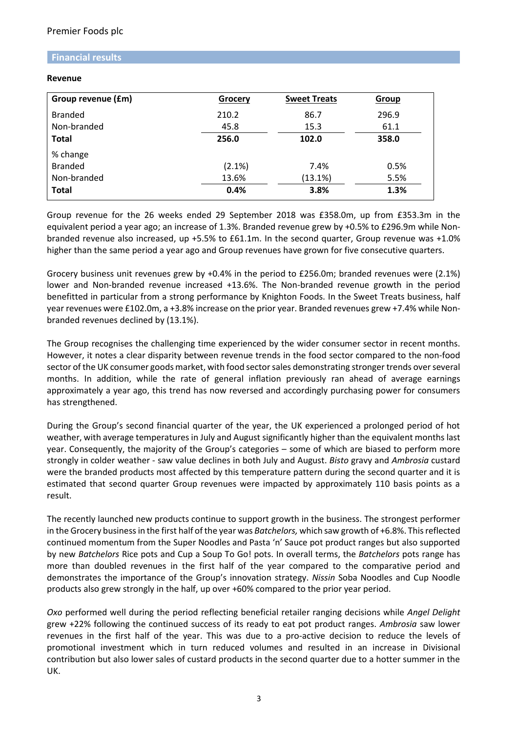# **Financial results**

### **Revenue**

| Group revenue (£m) | Grocery | <b>Sweet Treats</b> | Group |
|--------------------|---------|---------------------|-------|
| <b>Branded</b>     | 210.2   | 86.7                | 296.9 |
| Non-branded        | 45.8    | 15.3                | 61.1  |
| <b>Total</b>       | 256.0   | 102.0               | 358.0 |
| % change           |         |                     |       |
| <b>Branded</b>     | (2.1%)  | 7.4%                | 0.5%  |
| Non-branded        | 13.6%   | (13.1%)             | 5.5%  |
| <b>Total</b>       | 0.4%    | 3.8%                | 1.3%  |

Group revenue for the 26 weeks ended 29 September 2018 was £358.0m, up from £353.3m in the equivalent period a year ago; an increase of 1.3%. Branded revenue grew by +0.5% to £296.9m while Nonbranded revenue also increased, up +5.5% to £61.1m. In the second quarter, Group revenue was +1.0% higher than the same period a year ago and Group revenues have grown for five consecutive quarters.

Grocery business unit revenues grew by +0.4% in the period to £256.0m; branded revenues were (2.1%) lower and Non-branded revenue increased +13.6%. The Non-branded revenue growth in the period benefitted in particular from a strong performance by Knighton Foods. In the Sweet Treats business, half year revenues were £102.0m, a +3.8% increase on the prior year. Branded revenues grew +7.4% while Nonbranded revenues declined by (13.1%).

The Group recognises the challenging time experienced by the wider consumer sector in recent months. However, it notes a clear disparity between revenue trends in the food sector compared to the non-food sector of the UK consumer goods market, with food sector sales demonstrating stronger trends over several months. In addition, while the rate of general inflation previously ran ahead of average earnings approximately a year ago, this trend has now reversed and accordingly purchasing power for consumers has strengthened.

During the Group's second financial quarter of the year, the UK experienced a prolonged period of hot weather, with average temperatures in July and August significantly higher than the equivalent months last year. Consequently, the majority of the Group's categories – some of which are biased to perform more strongly in colder weather - saw value declines in both July and August. *Bisto* gravy and *Ambrosia* custard were the branded products most affected by this temperature pattern during the second quarter and it is estimated that second quarter Group revenues were impacted by approximately 110 basis points as a result.

The recently launched new products continue to support growth in the business. The strongest performer in the Grocery business in the first half of the year was *Batchelors,* which saw growth of +6.8%. This reflected continued momentum from the Super Noodles and Pasta 'n' Sauce pot product ranges but also supported by new *Batchelors* Rice pots and Cup a Soup To Go! pots. In overall terms, the *Batchelors* pots range has more than doubled revenues in the first half of the year compared to the comparative period and demonstrates the importance of the Group's innovation strategy. *Nissin* Soba Noodles and Cup Noodle products also grew strongly in the half, up over +60% compared to the prior year period.

*Oxo* performed well during the period reflecting beneficial retailer ranging decisions while *Angel Delight* grew +22% following the continued success of its ready to eat pot product ranges. *Ambrosia* saw lower revenues in the first half of the year. This was due to a pro-active decision to reduce the levels of promotional investment which in turn reduced volumes and resulted in an increase in Divisional contribution but also lower sales of custard products in the second quarter due to a hotter summer in the UK.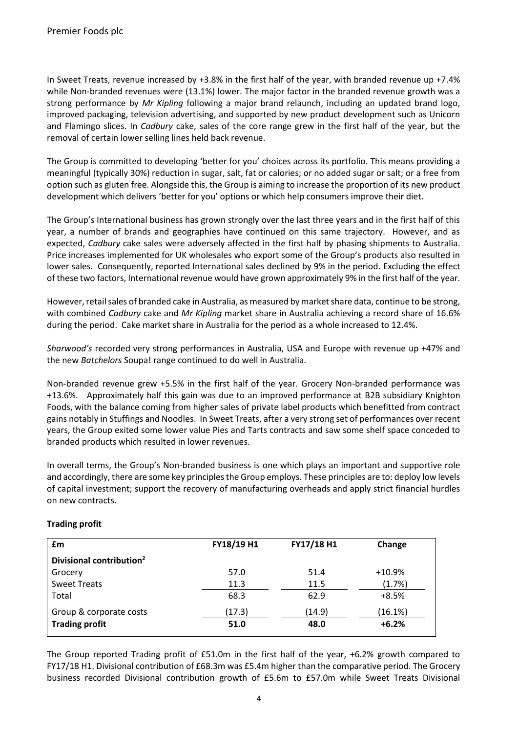In Sweet Treats, revenue increased by +3.8% in the first half of the year, with branded revenue up +7.4% while Non-branded revenues were (13.1%) lower. The major factor in the branded revenue growth was a strong performance by *Mr Kipling* following a major brand relaunch, including an updated brand logo, improved packaging, television advertising, and supported by new product development such as Unicorn and Flamingo slices. In *Cadbury* cake, sales of the core range grew in the first half of the year, but the removal of certain lower selling lines held back revenue.

The Group is committed to developing 'better for you' choices across its portfolio. This means providing a meaningful (typically 30%) reduction in sugar, salt, fat or calories; or no added sugar or salt; or a free from option such as gluten free. Alongside this, the Group is aiming to increase the proportion of its new product development which delivers 'better for you' options or which help consumers improve their diet.

The Group's International business has grown strongly over the last three years and in the first half of this year, a number of brands and geographies have continued on this same trajectory. However, and as expected, *Cadbury* cake sales were adversely affected in the first half by phasing shipments to Australia. Price increases implemented for UK wholesales who export some of the Group's products also resulted in lower sales. Consequently, reported International sales declined by 9% in the period. Excluding the effect of these two factors, International revenue would have grown approximately 9% in the first half of the year.

However, retail sales of branded cake in Australia, as measured by market share data, continue to be strong, with combined *Cadbury* cake and *Mr Kipling* market share in Australia achieving a record share of 16.6% during the period. Cake market share in Australia for the period as a whole increased to 12.4%.

*Sharwood's* recorded very strong performances in Australia, USA and Europe with revenue up +47% and the new *Batchelors* Soupa! range continued to do well in Australia.

Non-branded revenue grew +5.5% in the first half of the year. Grocery Non-branded performance was +13.6%. Approximately half this gain was due to an improved performance at B2B subsidiary Knighton Foods, with the balance coming from higher sales of private label products which benefitted from contract gains notably in Stuffings and Noodles. In Sweet Treats, after a very strong set of performances over recent years, the Group exited some lower value Pies and Tarts contracts and saw some shelf space conceded to branded products which resulted in lower revenues.

In overall terms, the Group's Non-branded business is one which plays an important and supportive role and accordingly, there are some key principles the Group employs. These principles are to: deploy low levels of capital investment; support the recovery of manufacturing overheads and apply strict financial hurdles on new contracts.

| £m                                   | FY18/19 H1 | FY17/18 H1 | Change   |
|--------------------------------------|------------|------------|----------|
| Divisional contribution <sup>2</sup> |            |            |          |
| Grocery                              | 57.0       | 51.4       | $+10.9%$ |
| <b>Sweet Treats</b>                  | 11.3       | 11.5       | (1.7%)   |
| Total                                | 68.3       | 62.9       | $+8.5%$  |
| Group & corporate costs              | (17.3)     | (14.9)     | (16.1%)  |
| <b>Trading profit</b>                | 51.0       | 48.0       | $+6.2%$  |

## **Trading profit**

The Group reported Trading profit of £51.0m in the first half of the year, +6.2% growth compared to FY17/18 H1. Divisional contribution of £68.3m was £5.4m higher than the comparative period. The Grocery business recorded Divisional contribution growth of £5.6m to £57.0m while Sweet Treats Divisional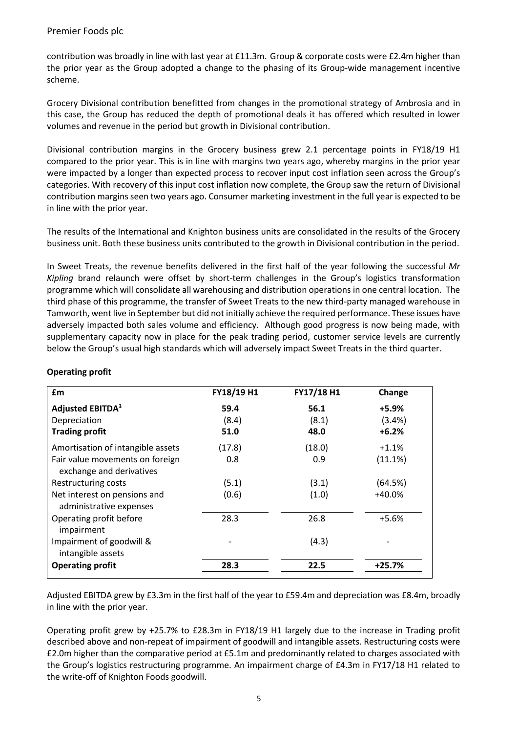contribution was broadly in line with last year at £11.3m. Group & corporate costs were £2.4m higher than the prior year as the Group adopted a change to the phasing of its Group-wide management incentive scheme.

Grocery Divisional contribution benefitted from changes in the promotional strategy of Ambrosia and in this case, the Group has reduced the depth of promotional deals it has offered which resulted in lower volumes and revenue in the period but growth in Divisional contribution.

Divisional contribution margins in the Grocery business grew 2.1 percentage points in FY18/19 H1 compared to the prior year. This is in line with margins two years ago, whereby margins in the prior year were impacted by a longer than expected process to recover input cost inflation seen across the Group's categories. With recovery of this input cost inflation now complete, the Group saw the return of Divisional contribution margins seen two years ago. Consumer marketing investment in the full year is expected to be in line with the prior year.

The results of the International and Knighton business units are consolidated in the results of the Grocery business unit. Both these business units contributed to the growth in Divisional contribution in the period.

In Sweet Treats, the revenue benefits delivered in the first half of the year following the successful *Mr Kipling* brand relaunch were offset by short-term challenges in the Group's logistics transformation programme which will consolidate all warehousing and distribution operations in one central location. The third phase of this programme, the transfer of Sweet Treats to the new third-party managed warehouse in Tamworth, went live in September but did not initially achieve the required performance. These issues have adversely impacted both sales volume and efficiency. Although good progress is now being made, with supplementary capacity now in place for the peak trading period, customer service levels are currently below the Group's usual high standards which will adversely impact Sweet Treats in the third quarter.

| £m                                                          | FY18/19 H1 | FY17/18 H1 | Change   |
|-------------------------------------------------------------|------------|------------|----------|
| Adjusted EBITDA <sup>3</sup>                                | 59.4       | 56.1       | +5.9%    |
| Depreciation                                                | (8.4)      | (8.1)      | (3.4% )  |
| <b>Trading profit</b>                                       | 51.0       | 48.0       | $+6.2%$  |
| Amortisation of intangible assets                           | (17.8)     | (18.0)     | $+1.1%$  |
| Fair value movements on foreign<br>exchange and derivatives | 0.8        | 0.9        | (11.1%)  |
| Restructuring costs                                         | (5.1)      | (3.1)      | (64.5%)  |
| Net interest on pensions and<br>administrative expenses     | (0.6)      | (1.0)      | +40.0%   |
| Operating profit before<br>impairment                       | 28.3       | 26.8       | $+5.6%$  |
| Impairment of goodwill &<br>intangible assets               |            | (4.3)      |          |
| <b>Operating profit</b>                                     | 28.3       | 22.5       | $+25.7%$ |
|                                                             |            |            |          |

# **Operating profit**

Adjusted EBITDA grew by £3.3m in the first half of the year to £59.4m and depreciation was £8.4m, broadly in line with the prior year.

Operating profit grew by +25.7% to £28.3m in FY18/19 H1 largely due to the increase in Trading profit described above and non-repeat of impairment of goodwill and intangible assets. Restructuring costs were £2.0m higher than the comparative period at £5.1m and predominantly related to charges associated with the Group's logistics restructuring programme. An impairment charge of £4.3m in FY17/18 H1 related to the write-off of Knighton Foods goodwill.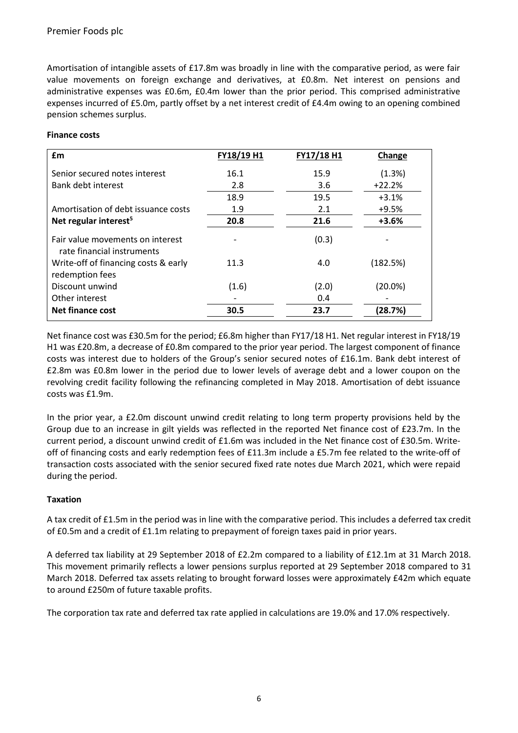Amortisation of intangible assets of £17.8m was broadly in line with the comparative period, as were fair value movements on foreign exchange and derivatives, at £0.8m. Net interest on pensions and administrative expenses was £0.6m, £0.4m lower than the prior period. This comprised administrative expenses incurred of £5.0m, partly offset by a net interest credit of £4.4m owing to an opening combined pension schemes surplus.

## **Finance costs**

| £m                                                             | FY18/19 H1 | FY17/18 H1 | Change   |
|----------------------------------------------------------------|------------|------------|----------|
| Senior secured notes interest                                  | 16.1       | 15.9       | (1.3%)   |
| Bank debt interest                                             | 2.8        | 3.6        | $+22.2%$ |
|                                                                | 18.9       | 19.5       | $+3.1%$  |
| Amortisation of debt issuance costs                            | 1.9        | 2.1        | $+9.5%$  |
| Net regular interest <sup>5</sup>                              | 20.8       | 21.6       | $+3.6%$  |
| Fair value movements on interest<br>rate financial instruments |            | (0.3)      |          |
| Write-off of financing costs & early<br>redemption fees        | 11.3       | 4.0        | (182.5%) |
| Discount unwind                                                | (1.6)      | (2.0)      | (20.0%)  |
| Other interest                                                 |            | 0.4        |          |
| Net finance cost                                               | 30.5       | 23.7       | (28.7%)  |

Net finance cost was £30.5m for the period; £6.8m higher than FY17/18 H1. Net regular interest in FY18/19 H1 was £20.8m, a decrease of £0.8m compared to the prior year period. The largest component of finance costs was interest due to holders of the Group's senior secured notes of £16.1m. Bank debt interest of £2.8m was £0.8m lower in the period due to lower levels of average debt and a lower coupon on the revolving credit facility following the refinancing completed in May 2018. Amortisation of debt issuance costs was £1.9m.

In the prior year, a £2.0m discount unwind credit relating to long term property provisions held by the Group due to an increase in gilt yields was reflected in the reported Net finance cost of £23.7m. In the current period, a discount unwind credit of £1.6m was included in the Net finance cost of £30.5m. Writeoff of financing costs and early redemption fees of £11.3m include a £5.7m fee related to the write-off of transaction costs associated with the senior secured fixed rate notes due March 2021, which were repaid during the period.

# **Taxation**

A tax credit of £1.5m in the period was in line with the comparative period. This includes a deferred tax credit of £0.5m and a credit of £1.1m relating to prepayment of foreign taxes paid in prior years.

A deferred tax liability at 29 September 2018 of £2.2m compared to a liability of £12.1m at 31 March 2018. This movement primarily reflects a lower pensions surplus reported at 29 September 2018 compared to 31 March 2018. Deferred tax assets relating to brought forward losses were approximately £42m which equate to around £250m of future taxable profits.

The corporation tax rate and deferred tax rate applied in calculations are 19.0% and 17.0% respectively.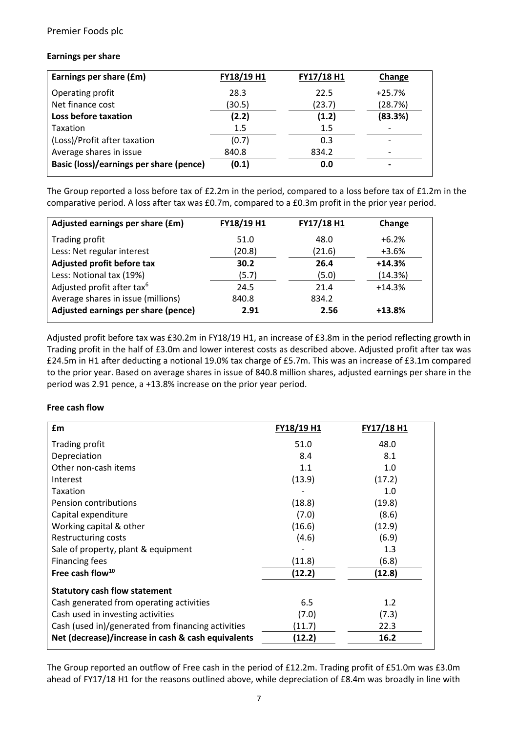## **Earnings per share**

| Earnings per share (£m)                 | FY18/19 H1 | FY17/18 H1 | Change   |
|-----------------------------------------|------------|------------|----------|
| Operating profit                        | 28.3       | 22.5       | $+25.7%$ |
| Net finance cost                        | (30.5)     | (23.7)     | (28.7%)  |
| Loss before taxation                    | (2.2)      | (1.2)      | (83.3%)  |
| <b>Taxation</b>                         | 1.5        | 1.5        |          |
| (Loss)/Profit after taxation            | (0.7)      | 0.3        |          |
| Average shares in issue                 | 840.8      | 834.2      |          |
| Basic (loss)/earnings per share (pence) | (0.1)      | 0.0        |          |

The Group reported a loss before tax of £2.2m in the period, compared to a loss before tax of £1.2m in the comparative period. A loss after tax was £0.7m, compared to a £0.3m profit in the prior year period.

| Adjusted earnings per share (£m)       | FY18/19 H1 | FY17/18 H1 | Change   |
|----------------------------------------|------------|------------|----------|
| Trading profit                         | 51.0       | 48.0       | $+6.2%$  |
| Less: Net regular interest             | (20.8)     | (21.6)     | $+3.6%$  |
| Adjusted profit before tax             | 30.2       | 26.4       | $+14.3%$ |
| Less: Notional tax (19%)               | (5.7)      | (5.0)      | (14.3%)  |
| Adjusted profit after tax <sup>6</sup> | 24.5       | 21.4       | $+14.3%$ |
| Average shares in issue (millions)     | 840.8      | 834.2      |          |
| Adjusted earnings per share (pence)    | 2.91       | 2.56       | $+13.8%$ |

Adjusted profit before tax was £30.2m in FY18/19 H1, an increase of £3.8m in the period reflecting growth in Trading profit in the half of £3.0m and lower interest costs as described above. Adjusted profit after tax was £24.5m in H1 after deducting a notional 19.0% tax charge of £5.7m. This was an increase of £3.1m compared to the prior year. Based on average shares in issue of 840.8 million shares, adjusted earnings per share in the period was 2.91 pence, a +13.8% increase on the prior year period.

#### **Free cash flow**

| £m                                                 | FY18/19 H1 | FY17/18 H1 |
|----------------------------------------------------|------------|------------|
| Trading profit                                     | 51.0       | 48.0       |
| Depreciation                                       | 8.4        | 8.1        |
| Other non-cash items                               | 1.1        | 1.0        |
| Interest                                           | (13.9)     | (17.2)     |
| <b>Taxation</b>                                    |            | 1.0        |
| <b>Pension contributions</b>                       | (18.8)     | (19.8)     |
| Capital expenditure                                | (7.0)      | (8.6)      |
| Working capital & other                            | (16.6)     | (12.9)     |
| Restructuring costs                                | (4.6)      | (6.9)      |
| Sale of property, plant & equipment                |            | 1.3        |
| <b>Financing fees</b>                              | (11.8)     | (6.8)      |
| Free cash flow <sup>10</sup>                       | (12.2)     | (12.8)     |
| <b>Statutory cash flow statement</b>               |            |            |
| Cash generated from operating activities           | 6.5        | 1.2        |
| Cash used in investing activities                  | (7.0)      | (7.3)      |
| Cash (used in)/generated from financing activities | (11.7)     | 22.3       |
| Net (decrease)/increase in cash & cash equivalents | (12.2)     | 16.2       |

The Group reported an outflow of Free cash in the period of £12.2m. Trading profit of £51.0m was £3.0m ahead of FY17/18 H1 for the reasons outlined above, while depreciation of £8.4m was broadly in line with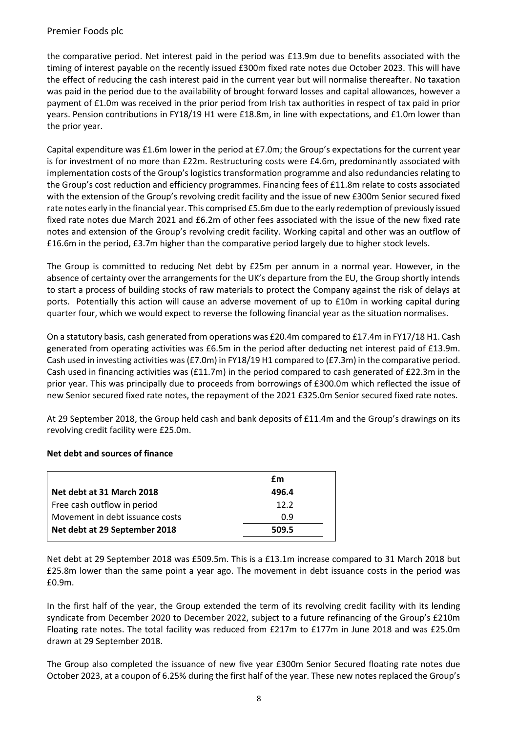the comparative period. Net interest paid in the period was £13.9m due to benefits associated with the timing of interest payable on the recently issued £300m fixed rate notes due October 2023. This will have the effect of reducing the cash interest paid in the current year but will normalise thereafter. No taxation was paid in the period due to the availability of brought forward losses and capital allowances, however a payment of £1.0m was received in the prior period from Irish tax authorities in respect of tax paid in prior years. Pension contributions in FY18/19 H1 were £18.8m, in line with expectations, and £1.0m lower than the prior year.

Capital expenditure was £1.6m lower in the period at £7.0m; the Group's expectations for the current year is for investment of no more than £22m. Restructuring costs were £4.6m, predominantly associated with implementation costs of the Group's logistics transformation programme and also redundancies relating to the Group's cost reduction and efficiency programmes. Financing fees of £11.8m relate to costs associated with the extension of the Group's revolving credit facility and the issue of new £300m Senior secured fixed rate notes early in the financial year. This comprised £5.6m due to the early redemption of previously issued fixed rate notes due March 2021 and £6.2m of other fees associated with the issue of the new fixed rate notes and extension of the Group's revolving credit facility. Working capital and other was an outflow of £16.6m in the period, £3.7m higher than the comparative period largely due to higher stock levels.

The Group is committed to reducing Net debt by £25m per annum in a normal year. However, in the absence of certainty over the arrangements for the UK's departure from the EU, the Group shortly intends to start a process of building stocks of raw materials to protect the Company against the risk of delays at ports. Potentially this action will cause an adverse movement of up to £10m in working capital during quarter four, which we would expect to reverse the following financial year as the situation normalises.

On a statutory basis, cash generated from operations was £20.4m compared to £17.4m in FY17/18 H1. Cash generated from operating activities was £6.5m in the period after deducting net interest paid of £13.9m. Cash used in investing activities was (£7.0m) in FY18/19 H1 compared to (£7.3m) in the comparative period. Cash used in financing activities was (£11.7m) in the period compared to cash generated of £22.3m in the prior year. This was principally due to proceeds from borrowings of £300.0m which reflected the issue of new Senior secured fixed rate notes, the repayment of the 2021 £325.0m Senior secured fixed rate notes.

At 29 September 2018, the Group held cash and bank deposits of £11.4m and the Group's drawings on its revolving credit facility were £25.0m.

## **Net debt and sources of finance**

|                                 | £m    |
|---------------------------------|-------|
| Net debt at 31 March 2018       | 496.4 |
| Free cash outflow in period     | 12.2  |
| Movement in debt issuance costs | 0.9   |
| Net debt at 29 September 2018   | 509.5 |

Net debt at 29 September 2018 was £509.5m. This is a £13.1m increase compared to 31 March 2018 but £25.8m lower than the same point a year ago. The movement in debt issuance costs in the period was £0.9m.

In the first half of the year, the Group extended the term of its revolving credit facility with its lending syndicate from December 2020 to December 2022, subject to a future refinancing of the Group's £210m Floating rate notes. The total facility was reduced from £217m to £177m in June 2018 and was £25.0m drawn at 29 September 2018.

The Group also completed the issuance of new five year £300m Senior Secured floating rate notes due October 2023, at a coupon of 6.25% during the first half of the year. These new notes replaced the Group's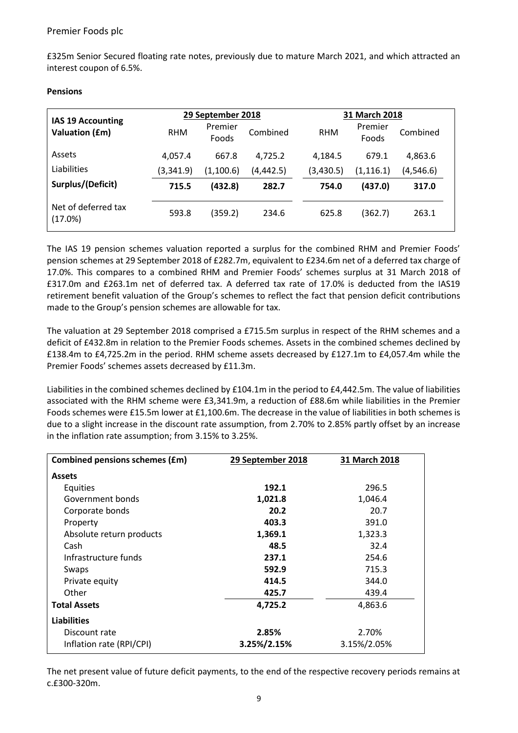£325m Senior Secured floating rate notes, previously due to mature March 2021, and which attracted an interest coupon of 6.5%.

## **Pensions**

| <b>IAS 19 Accounting</b>       |            | 29 September 2018 |            |            | 31 March 2018    |           |
|--------------------------------|------------|-------------------|------------|------------|------------------|-----------|
| Valuation (£m)                 | <b>RHM</b> | Premier<br>Foods  | Combined   | <b>RHM</b> | Premier<br>Foods | Combined  |
| Assets                         | 4,057.4    | 667.8             | 4,725.2    | 4,184.5    | 679.1            | 4,863.6   |
| Liabilities                    | (3,341.9)  | (1,100.6)         | (4, 442.5) | (3,430.5)  | (1, 116.1)       | (4,546.6) |
| Surplus/(Deficit)              | 715.5      | (432.8)           | 282.7      | 754.0      | (437.0)          | 317.0     |
| Net of deferred tax<br>(17.0%) | 593.8      | (359.2)           | 234.6      | 625.8      | (362.7)          | 263.1     |

The IAS 19 pension schemes valuation reported a surplus for the combined RHM and Premier Foods' pension schemes at 29 September 2018 of £282.7m, equivalent to £234.6m net of a deferred tax charge of 17.0%. This compares to a combined RHM and Premier Foods' schemes surplus at 31 March 2018 of £317.0m and £263.1m net of deferred tax. A deferred tax rate of 17.0% is deducted from the IAS19 retirement benefit valuation of the Group's schemes to reflect the fact that pension deficit contributions made to the Group's pension schemes are allowable for tax.

The valuation at 29 September 2018 comprised a £715.5m surplus in respect of the RHM schemes and a deficit of £432.8m in relation to the Premier Foods schemes. Assets in the combined schemes declined by £138.4m to £4,725.2m in the period. RHM scheme assets decreased by £127.1m to £4,057.4m while the Premier Foods' schemes assets decreased by £11.3m.

Liabilities in the combined schemes declined by £104.1m in the period to £4,442.5m. The value of liabilities associated with the RHM scheme were £3,341.9m, a reduction of £88.6m while liabilities in the Premier Foods schemes were £15.5m lower at £1,100.6m. The decrease in the value of liabilities in both schemes is due to a slight increase in the discount rate assumption, from 2.70% to 2.85% partly offset by an increase in the inflation rate assumption; from 3.15% to 3.25%.

| <b>Combined pensions schemes (£m)</b> | 29 September 2018 | 31 March 2018 |
|---------------------------------------|-------------------|---------------|
| <b>Assets</b>                         |                   |               |
| <b>Equities</b>                       | 192.1             | 296.5         |
| Government bonds                      | 1,021.8           | 1,046.4       |
| Corporate bonds                       | 20.2              | 20.7          |
| Property                              | 403.3             | 391.0         |
| Absolute return products              | 1,369.1           | 1,323.3       |
| Cash                                  | 48.5              | 32.4          |
| Infrastructure funds                  | 237.1             | 254.6         |
| Swaps                                 | 592.9             | 715.3         |
| Private equity                        | 414.5             | 344.0         |
| Other                                 | 425.7             | 439.4         |
| <b>Total Assets</b>                   | 4,725.2           | 4,863.6       |
| <b>Liabilities</b>                    |                   |               |
| Discount rate                         | 2.85%             | 2.70%         |
| Inflation rate (RPI/CPI)              | 3.25%/2.15%       | 3.15%/2.05%   |

The net present value of future deficit payments, to the end of the respective recovery periods remains at c.£300-320m.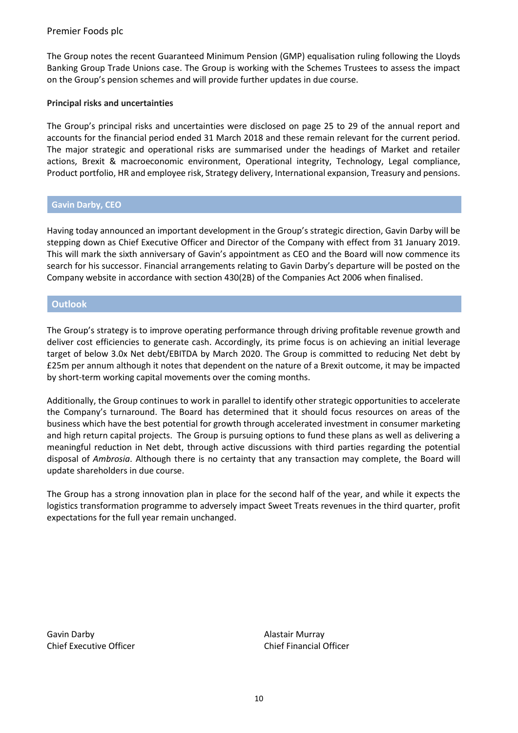The Group notes the recent Guaranteed Minimum Pension (GMP) equalisation ruling following the Lloyds Banking Group Trade Unions case. The Group is working with the Schemes Trustees to assess the impact on the Group's pension schemes and will provide further updates in due course.

### **Principal risks and uncertainties**

The Group's principal risks and uncertainties were disclosed on page 25 to 29 of the annual report and accounts for the financial period ended 31 March 2018 and these remain relevant for the current period. The major strategic and operational risks are summarised under the headings of Market and retailer actions, Brexit & macroeconomic environment, Operational integrity, Technology, Legal compliance, Product portfolio, HR and employee risk, Strategy delivery, International expansion, Treasury and pensions.

#### **Gavin Darby, CEO**

Having today announced an important development in the Group's strategic direction, Gavin Darby will be stepping down as Chief Executive Officer and Director of the Company with effect from 31 January 2019. This will mark the sixth anniversary of Gavin's appointment as CEO and the Board will now commence its search for his successor. Financial arrangements relating to Gavin Darby's departure will be posted on the Company website in accordance with section 430(2B) of the Companies Act 2006 when finalised.

### **Outlook**

The Group's strategy is to improve operating performance through driving profitable revenue growth and deliver cost efficiencies to generate cash. Accordingly, its prime focus is on achieving an initial leverage target of below 3.0x Net debt/EBITDA by March 2020. The Group is committed to reducing Net debt by £25m per annum although it notes that dependent on the nature of a Brexit outcome, it may be impacted by short-term working capital movements over the coming months.

Additionally, the Group continues to work in parallel to identify other strategic opportunities to accelerate the Company's turnaround. The Board has determined that it should focus resources on areas of the business which have the best potential for growth through accelerated investment in consumer marketing and high return capital projects. The Group is pursuing options to fund these plans as well as delivering a meaningful reduction in Net debt, through active discussions with third parties regarding the potential disposal of *Ambrosia*. Although there is no certainty that any transaction may complete, the Board will update shareholders in due course.

The Group has a strong innovation plan in place for the second half of the year, and while it expects the logistics transformation programme to adversely impact Sweet Treats revenues in the third quarter, profit expectations for the full year remain unchanged.

Gavin Darby **Alastair Murray** Chief Executive Officer Chief Financial Officer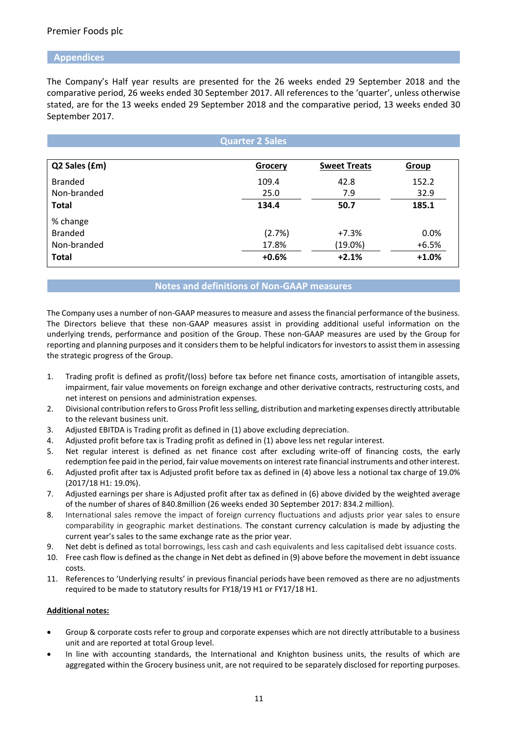#### **Appendices**

The Company's Half year results are presented for the 26 weeks ended 29 September 2018 and the comparative period, 26 weeks ended 30 September 2017. All references to the 'quarter', unless otherwise stated, are for the 13 weeks ended 29 September 2018 and the comparative period, 13 weeks ended 30 September 2017.

| <b>Quarter 2 Sales</b> |         |                     |         |  |  |
|------------------------|---------|---------------------|---------|--|--|
|                        |         |                     |         |  |  |
| Q2 Sales (£m)          | Grocery | <b>Sweet Treats</b> | Group   |  |  |
| <b>Branded</b>         | 109.4   | 42.8                | 152.2   |  |  |
| Non-branded            | 25.0    | 7.9                 | 32.9    |  |  |
| <b>Total</b>           | 134.4   | 50.7                | 185.1   |  |  |
| % change               |         |                     |         |  |  |
| <b>Branded</b>         | (2.7%)  | $+7.3%$             | 0.0%    |  |  |
| Non-branded            | 17.8%   | (19.0%)             | $+6.5%$ |  |  |
| <b>Total</b>           | $+0.6%$ | $+2.1%$             | $+1.0%$ |  |  |

#### **Notes and definitions of Non-GAAP measures**

The Company uses a number of non-GAAP measures to measure and assess the financial performance of the business. The Directors believe that these non-GAAP measures assist in providing additional useful information on the underlying trends, performance and position of the Group. These non-GAAP measures are used by the Group for reporting and planning purposes and it considers them to be helpful indicators for investors to assist them in assessing the strategic progress of the Group.

- 1. Trading profit is defined as profit/(loss) before tax before net finance costs, amortisation of intangible assets, impairment, fair value movements on foreign exchange and other derivative contracts, restructuring costs, and net interest on pensions and administration expenses.
- 2. Divisional contribution refers to Gross Profit less selling, distribution and marketing expenses directly attributable to the relevant business unit.
- 3. Adjusted EBITDA is Trading profit as defined in (1) above excluding depreciation.
- 4. Adjusted profit before tax is Trading profit as defined in (1) above less net regular interest.
- 5. Net regular interest is defined as net finance cost after excluding write-off of financing costs, the early redemption fee paid in the period, fair value movements on interest rate financial instruments and other interest.
- 6. Adjusted profit after tax is Adjusted profit before tax as defined in (4) above less a notional tax charge of 19.0% (2017/18 H1: 19.0%).
- 7. Adjusted earnings per share is Adjusted profit after tax as defined in (6) above divided by the weighted average of the number of shares of 840.8million (26 weeks ended 30 September 2017: 834.2 million).
- 8. International sales remove the impact of foreign currency fluctuations and adjusts prior year sales to ensure comparability in geographic market destinations. The constant currency calculation is made by adjusting the current year's sales to the same exchange rate as the prior year.
- 9. Net debt is defined as total borrowings, less cash and cash equivalents and less capitalised debt issuance costs.
- 10. Free cash flow is defined as the change in Net debt as defined in (9) above before the movement in debt issuance costs.
- 11. References to 'Underlying results' in previous financial periods have been removed as there are no adjustments required to be made to statutory results for FY18/19 H1 or FY17/18 H1.

#### **Additional notes:**

- Group & corporate costs refer to group and corporate expenses which are not directly attributable to a business unit and are reported at total Group level.
- In line with accounting standards, the International and Knighton business units, the results of which are aggregated within the Grocery business unit, are not required to be separately disclosed for reporting purposes.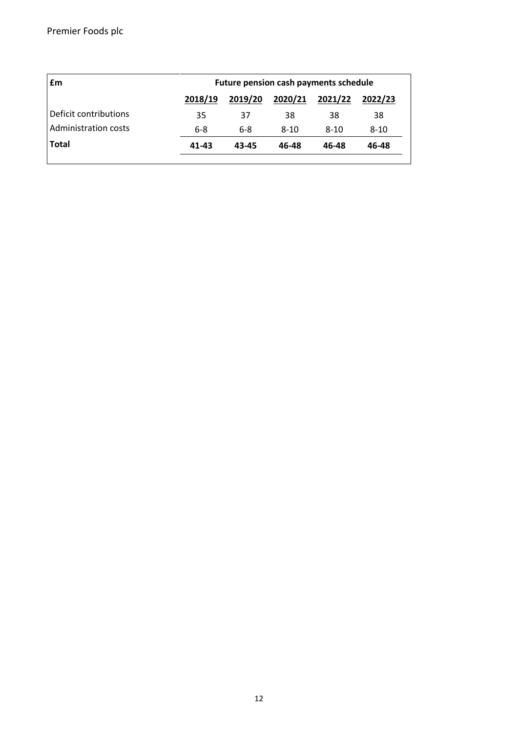| £m                          | Future pension cash payments schedule |         |          |          |          |  |  |
|-----------------------------|---------------------------------------|---------|----------|----------|----------|--|--|
|                             | 2018/19                               | 2019/20 | 2020/21  | 2021/22  | 2022/23  |  |  |
| Deficit contributions       | 35                                    | 37      | 38       | 38       | 38       |  |  |
| <b>Administration costs</b> | $6 - 8$                               | $6 - 8$ | $8 - 10$ | $8 - 10$ | $8 - 10$ |  |  |
| <b>Total</b>                | 41-43                                 | 43-45   | 46-48    | 46-48    | 46-48    |  |  |
|                             |                                       |         |          |          |          |  |  |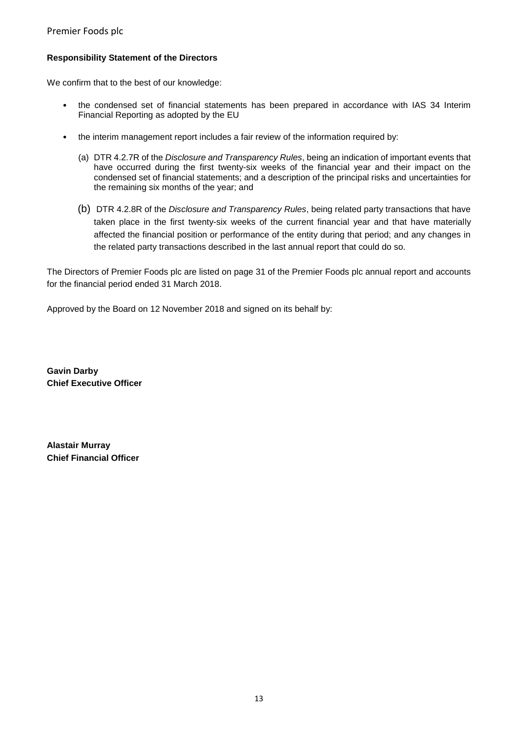## **Responsibility Statement of the Directors**

We confirm that to the best of our knowledge:

- the condensed set of financial statements has been prepared in accordance with IAS 34 Interim Financial Reporting as adopted by the EU
- the interim management report includes a fair review of the information required by:
	- (a) DTR 4.2.7R of the *Disclosure and Transparency Rules*, being an indication of important events that have occurred during the first twenty-six weeks of the financial year and their impact on the condensed set of financial statements; and a description of the principal risks and uncertainties for the remaining six months of the year; and
	- (b) DTR 4.2.8R of the *Disclosure and Transparency Rules*, being related party transactions that have taken place in the first twenty-six weeks of the current financial year and that have materially affected the financial position or performance of the entity during that period; and any changes in the related party transactions described in the last annual report that could do so.

The Directors of Premier Foods plc are listed on page 31 of the Premier Foods plc annual report and accounts for the financial period ended 31 March 2018.

Approved by the Board on 12 November 2018 and signed on its behalf by:

**Gavin Darby Chief Executive Officer**

**Alastair Murray Chief Financial Officer**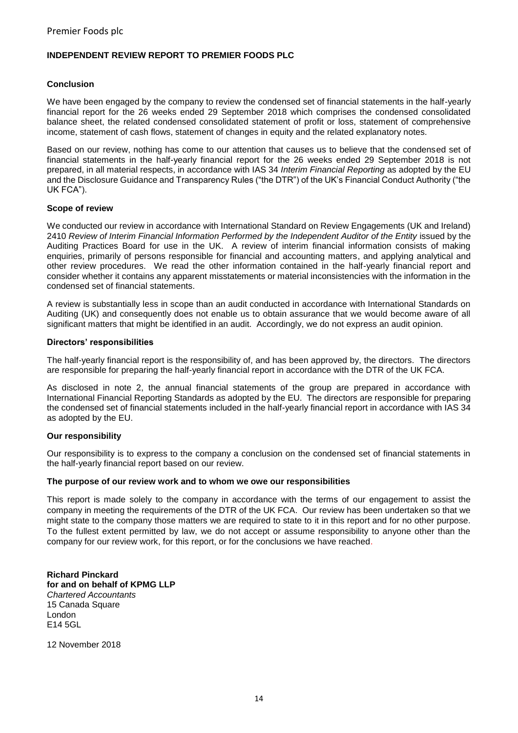#### **INDEPENDENT REVIEW REPORT TO PREMIER FOODS PLC**

#### **Conclusion**

We have been engaged by the company to review the condensed set of financial statements in the half-yearly financial report for the 26 weeks ended 29 September 2018 which comprises the condensed consolidated balance sheet, the related condensed consolidated statement of profit or loss, statement of comprehensive income, statement of cash flows, statement of changes in equity and the related explanatory notes.

Based on our review, nothing has come to our attention that causes us to believe that the condensed set of financial statements in the half-yearly financial report for the 26 weeks ended 29 September 2018 is not prepared, in all material respects, in accordance with IAS 34 *Interim Financial Reporting* as adopted by the EU and the Disclosure Guidance and Transparency Rules ("the DTR") of the UK's Financial Conduct Authority ("the UK FCA").

#### **Scope of review**

We conducted our review in accordance with International Standard on Review Engagements (UK and Ireland) 2410 *Review of Interim Financial Information Performed by the Independent Auditor of the Entity* issued by the Auditing Practices Board for use in the UK. A review of interim financial information consists of making enquiries, primarily of persons responsible for financial and accounting matters, and applying analytical and other review procedures. We read the other information contained in the half-yearly financial report and consider whether it contains any apparent misstatements or material inconsistencies with the information in the condensed set of financial statements.

A review is substantially less in scope than an audit conducted in accordance with International Standards on Auditing (UK) and consequently does not enable us to obtain assurance that we would become aware of all significant matters that might be identified in an audit. Accordingly, we do not express an audit opinion.

#### **Directors' responsibilities**

The half-yearly financial report is the responsibility of, and has been approved by, the directors. The directors are responsible for preparing the half-yearly financial report in accordance with the DTR of the UK FCA.

As disclosed in note 2, the annual financial statements of the group are prepared in accordance with International Financial Reporting Standards as adopted by the EU. The directors are responsible for preparing the condensed set of financial statements included in the half-yearly financial report in accordance with IAS 34 as adopted by the EU.

#### **Our responsibility**

Our responsibility is to express to the company a conclusion on the condensed set of financial statements in the half-yearly financial report based on our review.

#### **The purpose of our review work and to whom we owe our responsibilities**

This report is made solely to the company in accordance with the terms of our engagement to assist the company in meeting the requirements of the DTR of the UK FCA. Our review has been undertaken so that we might state to the company those matters we are required to state to it in this report and for no other purpose. To the fullest extent permitted by law, we do not accept or assume responsibility to anyone other than the company for our review work, for this report, or for the conclusions we have reached.

**Richard Pinckard for and on behalf of KPMG LLP**  *Chartered Accountants* 15 Canada Square London E14 5GL

12 November 2018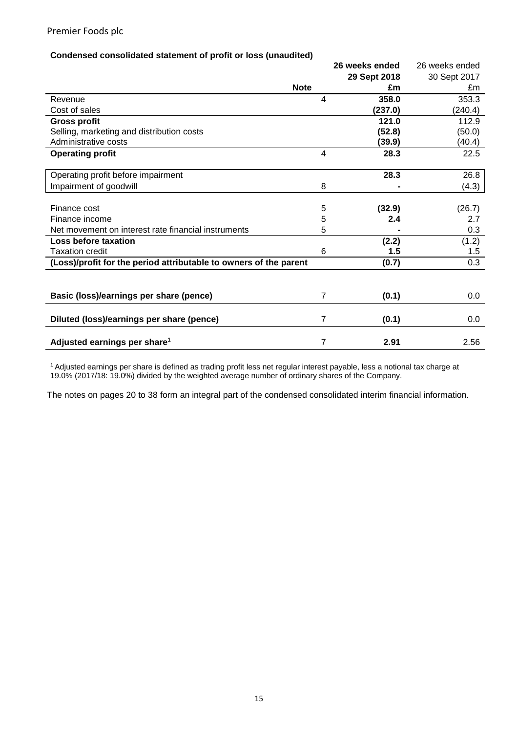## **Condensed consolidated statement of profit or loss (unaudited)**

|                                                                   |             | 26 weeks ended | 26 weeks ended |
|-------------------------------------------------------------------|-------------|----------------|----------------|
|                                                                   |             | 29 Sept 2018   | 30 Sept 2017   |
|                                                                   | <b>Note</b> | £m             | £m             |
| Revenue                                                           | 4           | 358.0          | 353.3          |
| Cost of sales                                                     |             | (237.0)        | (240.4)        |
| <b>Gross profit</b>                                               |             | 121.0          | 112.9          |
| Selling, marketing and distribution costs                         |             | (52.8)         | (50.0)         |
| Administrative costs                                              |             | (39.9)         | (40.4)         |
| <b>Operating profit</b>                                           | 4           | 28.3           | 22.5           |
|                                                                   |             |                |                |
| Operating profit before impairment                                |             | 28.3           | 26.8           |
| Impairment of goodwill                                            | 8           |                | (4.3)          |
|                                                                   |             |                |                |
| Finance cost                                                      | 5           | (32.9)         | (26.7)         |
| Finance income                                                    | 5           | 2.4            | 2.7            |
| Net movement on interest rate financial instruments               | 5           |                | 0.3            |
| Loss before taxation                                              |             | (2.2)          | (1.2)          |
| <b>Taxation credit</b>                                            | 6           | 1.5            | 1.5            |
| (Loss)/profit for the period attributable to owners of the parent |             | (0.7)          | 0.3            |
|                                                                   |             |                |                |
|                                                                   |             |                |                |
| Basic (loss)/earnings per share (pence)                           | 7           | (0.1)          | 0.0            |
|                                                                   |             |                |                |
| Diluted (loss)/earnings per share (pence)                         | 7           | (0.1)          | 0.0            |
|                                                                   |             |                |                |
| Adjusted earnings per share <sup>1</sup>                          | 7           | 2.91           | 2.56           |

<sup>1</sup>Adjusted earnings per share is defined as trading profit less net regular interest payable, less a notional tax charge at 19.0% (2017/18: 19.0%) divided by the weighted average number of ordinary shares of the Company.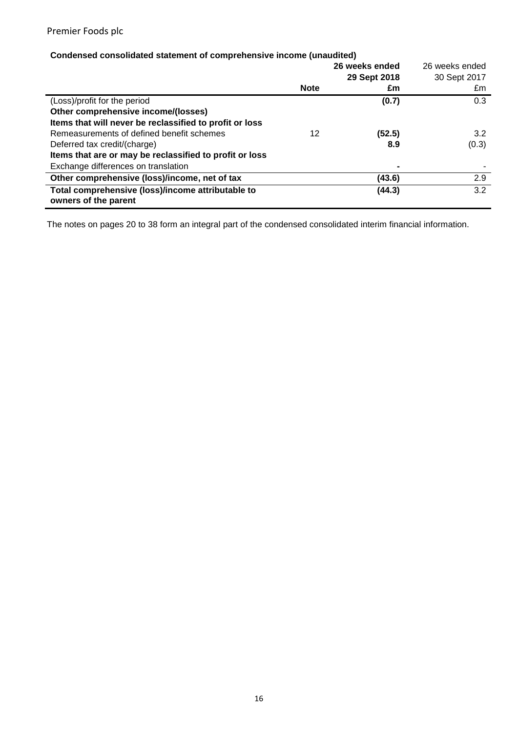# **Condensed consolidated statement of comprehensive income (unaudited)**

|                                                                           |             | 26 weeks ended | 26 weeks ended |
|---------------------------------------------------------------------------|-------------|----------------|----------------|
|                                                                           |             | 29 Sept 2018   | 30 Sept 2017   |
|                                                                           | <b>Note</b> | £m             | £m             |
| (Loss)/profit for the period                                              |             | (0.7)          | 0.3            |
| Other comprehensive income/(losses)                                       |             |                |                |
| Items that will never be reclassified to profit or loss                   |             |                |                |
| Remeasurements of defined benefit schemes                                 | 12          | (52.5)         | 3.2            |
| Deferred tax credit/(charge)                                              |             | 8.9            | (0.3)          |
| Items that are or may be reclassified to profit or loss                   |             |                |                |
| Exchange differences on translation                                       |             |                |                |
| Other comprehensive (loss)/income, net of tax                             |             | (43.6)         | 2.9            |
| Total comprehensive (loss)/income attributable to<br>owners of the parent |             | (44.3)         | 3.2            |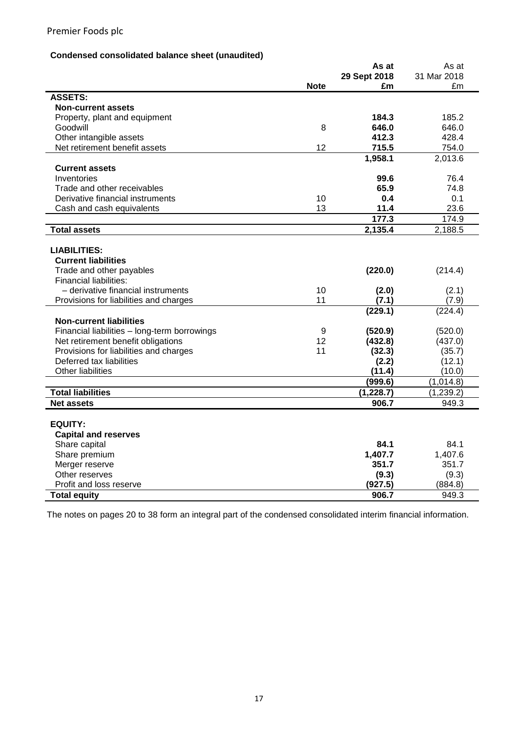# **Condensed consolidated balance sheet (unaudited)**

|                                              |             | As at           | As at       |
|----------------------------------------------|-------------|-----------------|-------------|
|                                              |             | 29 Sept 2018    | 31 Mar 2018 |
|                                              | <b>Note</b> | £m              | £m          |
| <b>ASSETS:</b>                               |             |                 |             |
| <b>Non-current assets</b>                    |             |                 |             |
| Property, plant and equipment                |             | 184.3           | 185.2       |
| Goodwill                                     | 8           | 646.0           | 646.0       |
| Other intangible assets                      |             | 412.3           | 428.4       |
| Net retirement benefit assets                | 12          | 715.5           | 754.0       |
|                                              |             | 1,958.1         | 2,013.6     |
| <b>Current assets</b>                        |             |                 |             |
| Inventories                                  |             | 99.6            | 76.4        |
| Trade and other receivables                  |             | 65.9            | 74.8        |
| Derivative financial instruments             | 10          | 0.4             | 0.1         |
| Cash and cash equivalents                    | 13          | 11.4            | 23.6        |
|                                              |             | 177.3           | 174.9       |
| <b>Total assets</b>                          |             | 2,135.4         | 2,188.5     |
|                                              |             |                 |             |
| <b>LIABILITIES:</b>                          |             |                 |             |
| <b>Current liabilities</b>                   |             |                 |             |
| Trade and other payables                     |             | (220.0)         | (214.4)     |
| <b>Financial liabilities:</b>                |             |                 |             |
| - derivative financial instruments           | 10          | (2.0)           | (2.1)       |
| Provisions for liabilities and charges       | 11          | (7.1)           | (7.9)       |
|                                              |             | (229.1)         | (224.4)     |
| <b>Non-current liabilities</b>               |             |                 |             |
| Financial liabilities - long-term borrowings | 9           | (520.9)         | (520.0)     |
| Net retirement benefit obligations           | 12          | (432.8)         | (437.0)     |
| Provisions for liabilities and charges       | 11          |                 | (35.7)      |
| Deferred tax liabilities                     |             | (32.3)<br>(2.2) | (12.1)      |
| Other liabilities                            |             |                 |             |
|                                              |             | (11.4)          | (10.0)      |
|                                              |             | (999.6)         | (1,014.8)   |
| <b>Total liabilities</b>                     |             | (1, 228.7)      | (1, 239.2)  |
| <b>Net assets</b>                            |             | 906.7           | 949.3       |
|                                              |             |                 |             |
| <b>EQUITY:</b>                               |             |                 |             |
| <b>Capital and reserves</b>                  |             |                 |             |
| Share capital                                |             | 84.1            | 84.1        |
| Share premium                                |             | 1,407.7         | 1,407.6     |
| Merger reserve                               |             | 351.7           | 351.7       |
| Other reserves                               |             | (9.3)           | (9.3)       |
| Profit and loss reserve                      |             | (927.5)         | (884.8)     |
| <b>Total equity</b>                          |             | 906.7           | 949.3       |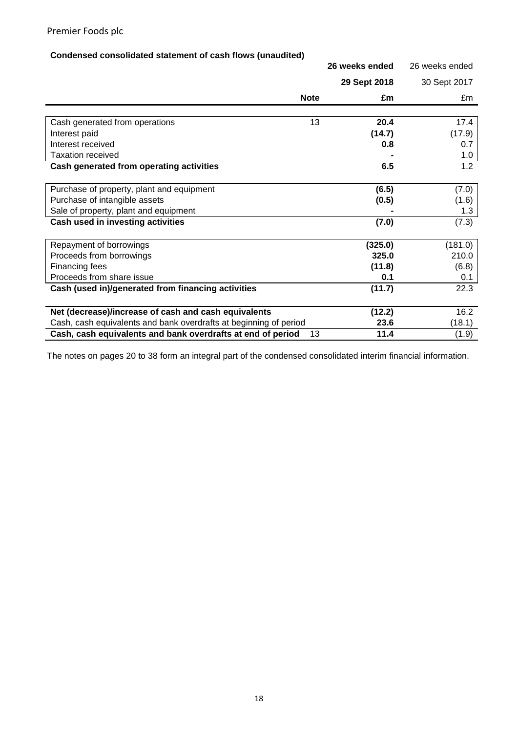# **Condensed consolidated statement of cash flows (unaudited)**

|                                                                   |             | 26 weeks ended | 26 weeks ended |
|-------------------------------------------------------------------|-------------|----------------|----------------|
|                                                                   |             | 29 Sept 2018   | 30 Sept 2017   |
|                                                                   | <b>Note</b> | £m             | £m             |
|                                                                   |             |                |                |
| Cash generated from operations                                    | 13          | 20.4           | 17.4           |
| Interest paid                                                     |             | (14.7)         | (17.9)         |
| Interest received                                                 |             | 0.8            | 0.7            |
| <b>Taxation received</b>                                          |             |                | 1.0            |
| Cash generated from operating activities                          |             | 6.5            | 1.2            |
|                                                                   |             |                |                |
| Purchase of property, plant and equipment                         |             | (6.5)          | (7.0)          |
| Purchase of intangible assets                                     |             | (0.5)          | (1.6)          |
| Sale of property, plant and equipment                             |             |                | 1.3            |
| Cash used in investing activities                                 |             | (7.0)          | (7.3)          |
|                                                                   |             |                |                |
| Repayment of borrowings                                           |             | (325.0)        | (181.0)        |
| Proceeds from borrowings                                          |             | 325.0          | 210.0          |
| Financing fees                                                    |             | (11.8)         | (6.8)          |
| Proceeds from share issue                                         |             | 0.1            | 0.1            |
| Cash (used in)/generated from financing activities                |             | (11.7)         | 22.3           |
|                                                                   |             |                |                |
| Net (decrease)/increase of cash and cash equivalents              |             | (12.2)         | 16.2           |
| Cash, cash equivalents and bank overdrafts at beginning of period |             | 23.6           | (18.1)         |
| Cash, cash equivalents and bank overdrafts at end of period       | 13          | 11.4           | (1.9)          |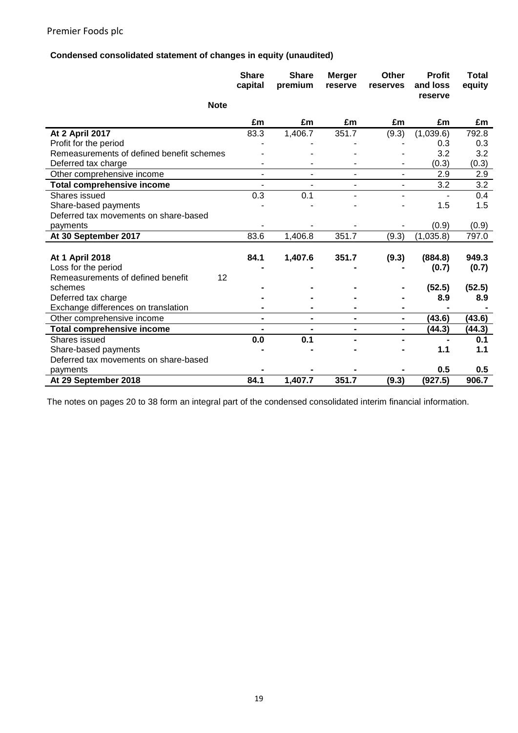# **Condensed consolidated statement of changes in equity (unaudited)**

|                                           | <b>Share</b><br>capital | <b>Share</b><br>premium | <b>Merger</b><br>reserve | Other<br>reserves        | <b>Profit</b><br>and loss<br>reserve | <b>Total</b><br>equity |
|-------------------------------------------|-------------------------|-------------------------|--------------------------|--------------------------|--------------------------------------|------------------------|
| <b>Note</b>                               |                         |                         |                          |                          |                                      |                        |
|                                           | £m                      | £m                      | £m                       | £m                       | £m                                   | £m                     |
| <b>At 2 April 2017</b>                    | 83.3                    | 1,406.7                 | 351.7                    | (9.3)                    | (1,039.6)                            | 792.8                  |
| Profit for the period                     |                         |                         |                          |                          | 0.3                                  | 0.3                    |
| Remeasurements of defined benefit schemes |                         |                         |                          |                          | 3.2                                  | 3.2                    |
| Deferred tax charge                       |                         |                         |                          |                          | (0.3)                                | (0.3)                  |
| Other comprehensive income                | ۰                       | $\blacksquare$          |                          |                          | 2.9                                  | 2.9                    |
| <b>Total comprehensive income</b>         | $\blacksquare$          | $\overline{a}$          | $\blacksquare$           | $\overline{\phantom{a}}$ | 3.2                                  | 3.2                    |
| Shares issued                             | 0.3                     | 0.1                     |                          |                          |                                      | 0.4                    |
| Share-based payments                      |                         |                         |                          |                          | 1.5                                  | 1.5                    |
| Deferred tax movements on share-based     |                         |                         |                          |                          |                                      |                        |
| payments                                  |                         |                         |                          |                          | (0.9)                                | (0.9)                  |
| At 30 September 2017                      | 83.6                    | 1,406.8                 | 351.7                    | (9.3)                    | (1,035.8)                            | 797.0                  |
|                                           |                         |                         |                          |                          |                                      |                        |
| <b>At 1 April 2018</b>                    | 84.1                    | 1,407.6                 | 351.7                    | (9.3)                    | (884.8)                              | 949.3                  |
| Loss for the period                       |                         |                         |                          |                          | (0.7)                                | (0.7)                  |
| 12<br>Remeasurements of defined benefit   |                         |                         |                          |                          |                                      |                        |
| schemes                                   |                         |                         |                          |                          | (52.5)                               | (52.5)                 |
| Deferred tax charge                       |                         |                         |                          |                          | 8.9                                  | 8.9                    |
| Exchange differences on translation       |                         |                         |                          |                          |                                      |                        |
| Other comprehensive income                | $\blacksquare$          | $\blacksquare$          | $\blacksquare$           | $\blacksquare$           | (43.6)                               | (43.6)                 |
| <b>Total comprehensive income</b>         |                         | $\blacksquare$          | $\blacksquare$           | $\blacksquare$           | (44.3)                               | (44.3)                 |
| Shares issued                             | 0.0                     | 0.1                     |                          |                          |                                      | 0.1                    |
| Share-based payments                      |                         |                         |                          |                          | 1.1                                  | 1.1                    |
| Deferred tax movements on share-based     |                         |                         |                          |                          |                                      |                        |
| payments                                  |                         |                         |                          |                          | 0.5                                  | 0.5                    |
| At 29 September 2018                      | 84.1                    | 1,407.7                 | 351.7                    | (9.3)                    | (927.5)                              | 906.7                  |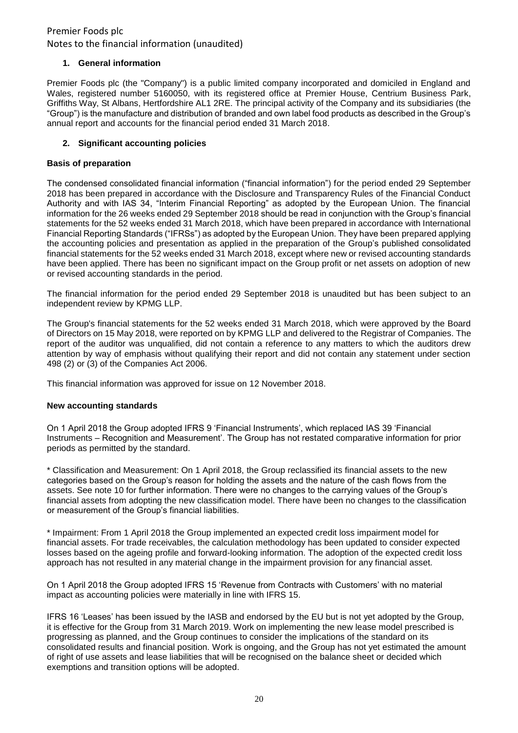# **1. General information**

Premier Foods plc (the "Company") is a public limited company incorporated and domiciled in England and Wales, registered number 5160050, with its registered office at Premier House, Centrium Business Park, Griffiths Way, St Albans, Hertfordshire AL1 2RE. The principal activity of the Company and its subsidiaries (the "Group") is the manufacture and distribution of branded and own label food products as described in the Group's annual report and accounts for the financial period ended 31 March 2018.

## **2. Significant accounting policies**

## **Basis of preparation**

The condensed consolidated financial information ("financial information") for the period ended 29 September 2018 has been prepared in accordance with the Disclosure and Transparency Rules of the Financial Conduct Authority and with IAS 34, "Interim Financial Reporting" as adopted by the European Union. The financial information for the 26 weeks ended 29 September 2018 should be read in conjunction with the Group's financial statements for the 52 weeks ended 31 March 2018, which have been prepared in accordance with International Financial Reporting Standards ("IFRSs") as adopted by the European Union. They have been prepared applying the accounting policies and presentation as applied in the preparation of the Group's published consolidated financial statements for the 52 weeks ended 31 March 2018, except where new or revised accounting standards have been applied. There has been no significant impact on the Group profit or net assets on adoption of new or revised accounting standards in the period.

The financial information for the period ended 29 September 2018 is unaudited but has been subject to an independent review by KPMG LLP.

The Group's financial statements for the 52 weeks ended 31 March 2018, which were approved by the Board of Directors on 15 May 2018, were reported on by KPMG LLP and delivered to the Registrar of Companies. The report of the auditor was unqualified, did not contain a reference to any matters to which the auditors drew attention by way of emphasis without qualifying their report and did not contain any statement under section 498 (2) or (3) of the Companies Act 2006.

This financial information was approved for issue on 12 November 2018.

## **New accounting standards**

On 1 April 2018 the Group adopted IFRS 9 'Financial Instruments', which replaced IAS 39 'Financial Instruments – Recognition and Measurement'. The Group has not restated comparative information for prior periods as permitted by the standard.

\* Classification and Measurement: On 1 April 2018, the Group reclassified its financial assets to the new categories based on the Group's reason for holding the assets and the nature of the cash flows from the assets. See note 10 for further information. There were no changes to the carrying values of the Group's financial assets from adopting the new classification model. There have been no changes to the classification or measurement of the Group's financial liabilities.

\* Impairment: From 1 April 2018 the Group implemented an expected credit loss impairment model for financial assets. For trade receivables, the calculation methodology has been updated to consider expected losses based on the ageing profile and forward-looking information. The adoption of the expected credit loss approach has not resulted in any material change in the impairment provision for any financial asset.

On 1 April 2018 the Group adopted IFRS 15 'Revenue from Contracts with Customers' with no material impact as accounting policies were materially in line with IFRS 15.

IFRS 16 'Leases' has been issued by the IASB and endorsed by the EU but is not yet adopted by the Group, it is effective for the Group from 31 March 2019. Work on implementing the new lease model prescribed is progressing as planned, and the Group continues to consider the implications of the standard on its consolidated results and financial position. Work is ongoing, and the Group has not yet estimated the amount of right of use assets and lease liabilities that will be recognised on the balance sheet or decided which exemptions and transition options will be adopted.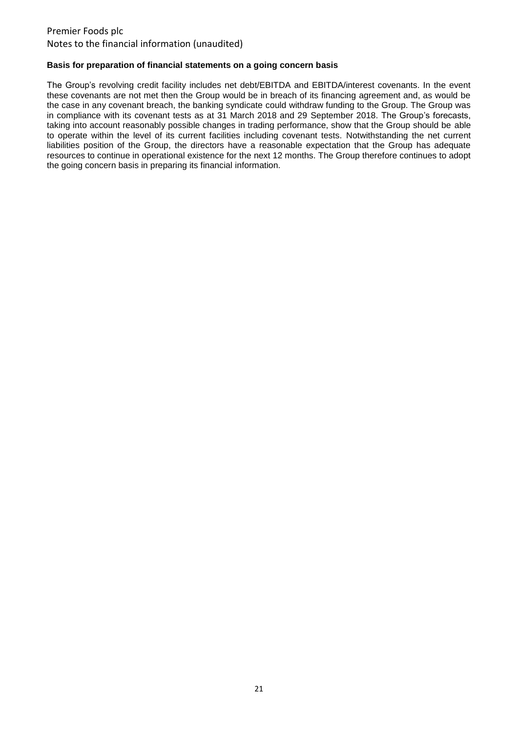#### **Basis for preparation of financial statements on a going concern basis**

The Group's revolving credit facility includes net debt/EBITDA and EBITDA/interest covenants. In the event these covenants are not met then the Group would be in breach of its financing agreement and, as would be the case in any covenant breach, the banking syndicate could withdraw funding to the Group. The Group was in compliance with its covenant tests as at 31 March 2018 and 29 September 2018. The Group's forecasts, taking into account reasonably possible changes in trading performance, show that the Group should be able to operate within the level of its current facilities including covenant tests. Notwithstanding the net current liabilities position of the Group, the directors have a reasonable expectation that the Group has adequate resources to continue in operational existence for the next 12 months. The Group therefore continues to adopt the going concern basis in preparing its financial information.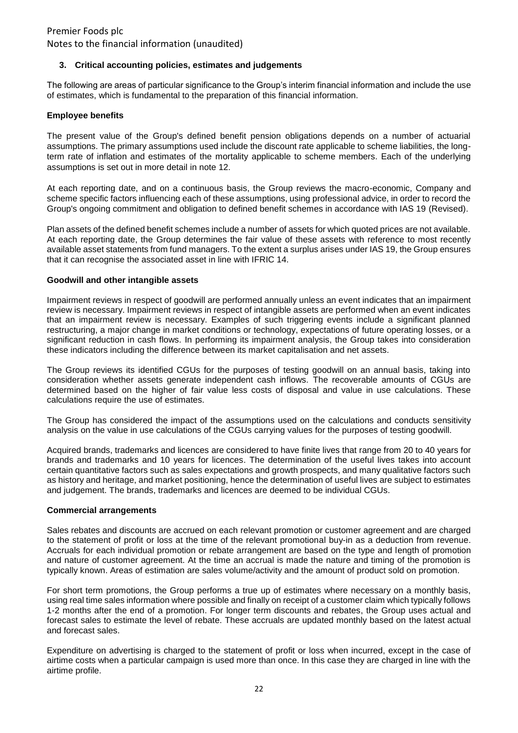### **3. Critical accounting policies, estimates and judgements**

The following are areas of particular significance to the Group's interim financial information and include the use of estimates, which is fundamental to the preparation of this financial information.

#### **Employee benefits**

The present value of the Group's defined benefit pension obligations depends on a number of actuarial assumptions. The primary assumptions used include the discount rate applicable to scheme liabilities, the longterm rate of inflation and estimates of the mortality applicable to scheme members. Each of the underlying assumptions is set out in more detail in note 12.

At each reporting date, and on a continuous basis, the Group reviews the macro-economic, Company and scheme specific factors influencing each of these assumptions, using professional advice, in order to record the Group's ongoing commitment and obligation to defined benefit schemes in accordance with IAS 19 (Revised).

Plan assets of the defined benefit schemes include a number of assets for which quoted prices are not available. At each reporting date, the Group determines the fair value of these assets with reference to most recently available asset statements from fund managers. To the extent a surplus arises under IAS 19, the Group ensures that it can recognise the associated asset in line with IFRIC 14.

#### **Goodwill and other intangible assets**

Impairment reviews in respect of goodwill are performed annually unless an event indicates that an impairment review is necessary. Impairment reviews in respect of intangible assets are performed when an event indicates that an impairment review is necessary. Examples of such triggering events include a significant planned restructuring, a major change in market conditions or technology, expectations of future operating losses, or a significant reduction in cash flows. In performing its impairment analysis, the Group takes into consideration these indicators including the difference between its market capitalisation and net assets.

The Group reviews its identified CGUs for the purposes of testing goodwill on an annual basis, taking into consideration whether assets generate independent cash inflows. The recoverable amounts of CGUs are determined based on the higher of fair value less costs of disposal and value in use calculations. These calculations require the use of estimates.

The Group has considered the impact of the assumptions used on the calculations and conducts sensitivity analysis on the value in use calculations of the CGUs carrying values for the purposes of testing goodwill.

Acquired brands, trademarks and licences are considered to have finite lives that range from 20 to 40 years for brands and trademarks and 10 years for licences. The determination of the useful lives takes into account certain quantitative factors such as sales expectations and growth prospects, and many qualitative factors such as history and heritage, and market positioning, hence the determination of useful lives are subject to estimates and judgement. The brands, trademarks and licences are deemed to be individual CGUs.

#### **Commercial arrangements**

Sales rebates and discounts are accrued on each relevant promotion or customer agreement and are charged to the statement of profit or loss at the time of the relevant promotional buy-in as a deduction from revenue. Accruals for each individual promotion or rebate arrangement are based on the type and length of promotion and nature of customer agreement. At the time an accrual is made the nature and timing of the promotion is typically known. Areas of estimation are sales volume/activity and the amount of product sold on promotion.

For short term promotions, the Group performs a true up of estimates where necessary on a monthly basis, using real time sales information where possible and finally on receipt of a customer claim which typically follows 1-2 months after the end of a promotion. For longer term discounts and rebates, the Group uses actual and forecast sales to estimate the level of rebate. These accruals are updated monthly based on the latest actual and forecast sales.

Expenditure on advertising is charged to the statement of profit or loss when incurred, except in the case of airtime costs when a particular campaign is used more than once. In this case they are charged in line with the airtime profile.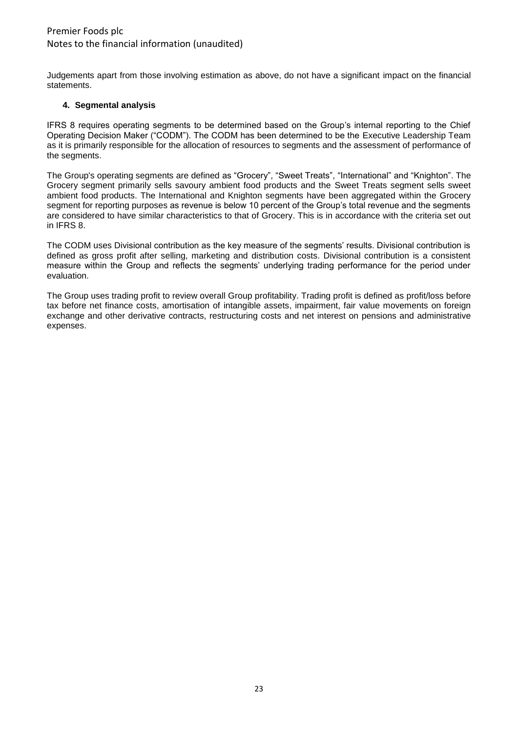Judgements apart from those involving estimation as above, do not have a significant impact on the financial statements.

#### **4. Segmental analysis**

IFRS 8 requires operating segments to be determined based on the Group's internal reporting to the Chief Operating Decision Maker ("CODM"). The CODM has been determined to be the Executive Leadership Team as it is primarily responsible for the allocation of resources to segments and the assessment of performance of the segments.

The Group's operating segments are defined as "Grocery", "Sweet Treats", "International" and "Knighton". The Grocery segment primarily sells savoury ambient food products and the Sweet Treats segment sells sweet ambient food products. The International and Knighton segments have been aggregated within the Grocery segment for reporting purposes as revenue is below 10 percent of the Group's total revenue and the segments are considered to have similar characteristics to that of Grocery. This is in accordance with the criteria set out in IFRS 8.

The CODM uses Divisional contribution as the key measure of the segments' results. Divisional contribution is defined as gross profit after selling, marketing and distribution costs. Divisional contribution is a consistent measure within the Group and reflects the segments' underlying trading performance for the period under evaluation.

The Group uses trading profit to review overall Group profitability. Trading profit is defined as profit/loss before tax before net finance costs, amortisation of intangible assets, impairment, fair value movements on foreign exchange and other derivative contracts, restructuring costs and net interest on pensions and administrative expenses.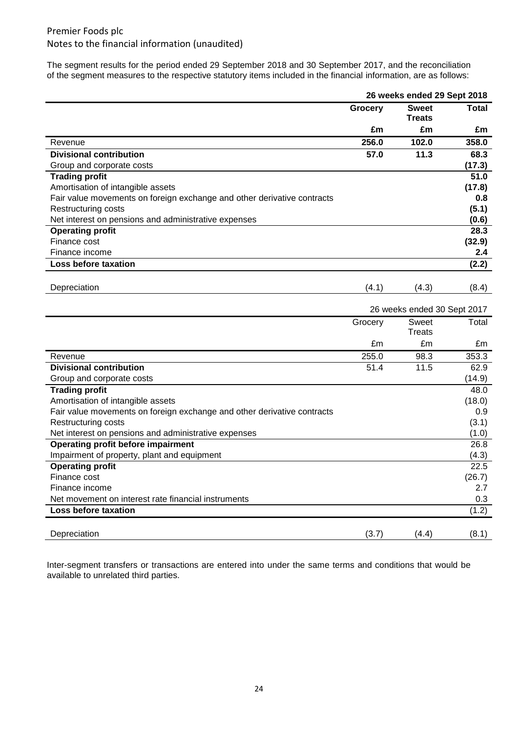The segment results for the period ended 29 September 2018 and 30 September 2017, and the reconciliation of the segment measures to the respective statutory items included in the financial information, are as follows:

|                                                                         | 26 weeks ended 29 Sept 2018 |                               |              |  |
|-------------------------------------------------------------------------|-----------------------------|-------------------------------|--------------|--|
|                                                                         | Grocery                     | <b>Sweet</b><br><b>Treats</b> | <b>Total</b> |  |
|                                                                         | £m                          | £m                            | £m           |  |
| Revenue                                                                 | 256.0                       | 102.0                         | 358.0        |  |
| <b>Divisional contribution</b>                                          | 57.0                        | 11.3                          | 68.3         |  |
| Group and corporate costs                                               |                             |                               | (17.3)       |  |
| <b>Trading profit</b>                                                   |                             |                               | 51.0         |  |
| Amortisation of intangible assets                                       |                             |                               | (17.8)       |  |
| Fair value movements on foreign exchange and other derivative contracts |                             |                               | 0.8          |  |
| <b>Restructuring costs</b>                                              |                             |                               | (5.1)        |  |
| Net interest on pensions and administrative expenses                    |                             |                               | (0.6)        |  |
| <b>Operating profit</b>                                                 |                             |                               | 28.3         |  |
| Finance cost                                                            |                             |                               | (32.9)       |  |
| Finance income                                                          |                             |                               | 2.4          |  |
| Loss before taxation                                                    |                             |                               | (2.2)        |  |
|                                                                         |                             |                               |              |  |
| Depreciation                                                            | (4.1)                       | (4.3)                         | (8.4)        |  |
|                                                                         |                             |                               |              |  |
|                                                                         |                             | 26 weeks ended 30 Sept 2017   |              |  |
|                                                                         | Grocery                     | Sweet<br>Treats               | Total        |  |
|                                                                         | £m                          | £m                            | £m           |  |
| Revenue                                                                 | 255.0                       | 98.3                          | 353.3        |  |
| <b>Divisional contribution</b>                                          | 51.4                        | 11.5                          | 62.9         |  |
| Group and corporate costs                                               |                             |                               | (14.9)       |  |
| <b>Trading profit</b>                                                   |                             |                               | 48.0         |  |
| Amortisation of intangible assets                                       |                             |                               | (18.0)       |  |
| Fair value movements on foreign exchange and other derivative contracts |                             |                               | 0.9          |  |
| <b>Restructuring costs</b>                                              |                             |                               | (3.1)        |  |
| Net interest on pensions and administrative expenses                    |                             |                               | (1.0)        |  |
| <b>Operating profit before impairment</b>                               |                             |                               | 26.8         |  |
| Impairment of property, plant and equipment                             |                             |                               | (4.3)        |  |
| <b>Operating profit</b>                                                 |                             |                               | 22.5         |  |
| Finance cost                                                            |                             |                               | (26.7)       |  |
| Finance income                                                          |                             |                               | 2.7          |  |
| Net movement on interest rate financial instruments                     |                             |                               | 0.3          |  |
| Loss before taxation                                                    |                             |                               | (1.2)        |  |
|                                                                         |                             |                               |              |  |
| Depreciation                                                            | (3.7)                       | (4.4)                         | (8.1)        |  |

Inter-segment transfers or transactions are entered into under the same terms and conditions that would be available to unrelated third parties.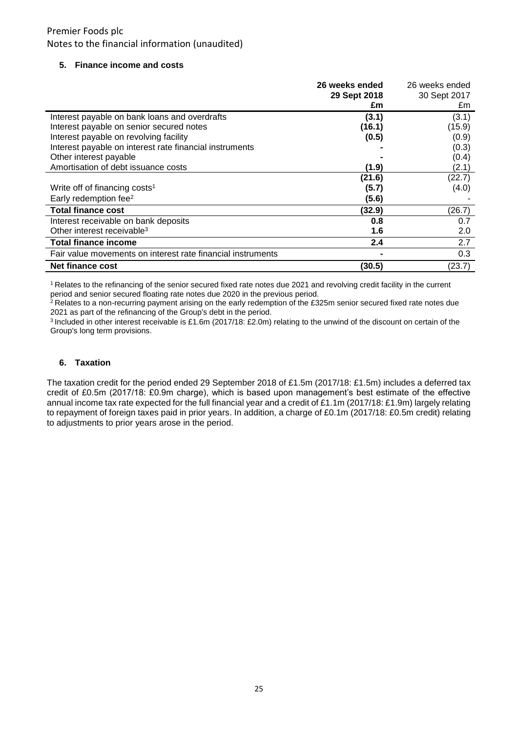# Notes to the financial information (unaudited)

#### **5. Finance income and costs**

|                                                             | 26 weeks ended<br>29 Sept 2018<br>£m | 26 weeks ended<br>30 Sept 2017<br>£m |
|-------------------------------------------------------------|--------------------------------------|--------------------------------------|
| Interest payable on bank loans and overdrafts               | (3.1)                                | (3.1)                                |
| Interest payable on senior secured notes                    | (16.1)                               | (15.9)                               |
| Interest payable on revolving facility                      | (0.5)                                | (0.9)                                |
| Interest payable on interest rate financial instruments     |                                      | (0.3)                                |
| Other interest payable                                      |                                      | (0.4)                                |
| Amortisation of debt issuance costs                         | (1.9)                                | (2.1)                                |
|                                                             | (21.6)                               | (22.7)                               |
| Write off of financing costs <sup>1</sup>                   | (5.7)                                | (4.0)                                |
| Early redemption fee <sup>2</sup>                           | (5.6)                                |                                      |
| <b>Total finance cost</b>                                   | (32.9)                               | (26.7)                               |
| Interest receivable on bank deposits                        | 0.8                                  | 0.7                                  |
| Other interest receivable <sup>3</sup>                      | 1.6                                  | 2.0                                  |
| <b>Total finance income</b>                                 | 2.4                                  | 2.7                                  |
| Fair value movements on interest rate financial instruments |                                      | 0.3                                  |
| <b>Net finance cost</b>                                     | (30.5)                               | (23.7)                               |

<sup>1</sup>Relates to the refinancing of the senior secured fixed rate notes due 2021 and revolving credit facility in the current period and senior secured floating rate notes due 2020 in the previous period.

 $^2$  Relates to a non-recurring payment arising on the early redemption of the £325m senior secured fixed rate notes due 2021 as part of the refinancing of the Group's debt in the period.

<sup>3</sup> Included in other interest receivable is £1.6m (2017/18: £2.0m) relating to the unwind of the discount on certain of the Group's long term provisions.

#### **6. Taxation**

The taxation credit for the period ended 29 September 2018 of £1.5m (2017/18: £1.5m) includes a deferred tax credit of £0.5m (2017/18: £0.9m charge), which is based upon management's best estimate of the effective annual income tax rate expected for the full financial year and a credit of £1.1m (2017/18: £1.9m) largely relating to repayment of foreign taxes paid in prior years. In addition, a charge of £0.1m (2017/18: £0.5m credit) relating to adjustments to prior years arose in the period.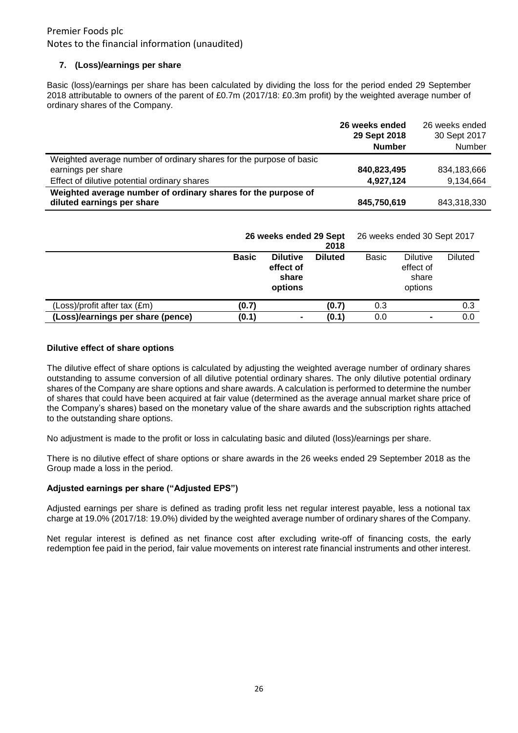# **7. (Loss)/earnings per share**

Basic (loss)/earnings per share has been calculated by dividing the loss for the period ended 29 September 2018 attributable to owners of the parent of £0.7m (2017/18: £0.3m profit) by the weighted average number of ordinary shares of the Company.

|                                                                     | 26 weeks ended<br>29 Sept 2018<br><b>Number</b> | 26 weeks ended<br>30 Sept 2017<br>Number |
|---------------------------------------------------------------------|-------------------------------------------------|------------------------------------------|
| Weighted average number of ordinary shares for the purpose of basic |                                                 |                                          |
| earnings per share                                                  | 840,823,495                                     | 834,183,666                              |
| Effect of dilutive potential ordinary shares                        | 4,927,124                                       | 9,134,664                                |
| Weighted average number of ordinary shares for the purpose of       |                                                 |                                          |
| diluted earnings per share                                          | 845,750,619                                     | 843,318,330                              |

|                                   |              | 26 weeks ended 29 Sept                           | 2018           |              | 26 weeks ended 30 Sept 2017                      |                |
|-----------------------------------|--------------|--------------------------------------------------|----------------|--------------|--------------------------------------------------|----------------|
|                                   | <b>Basic</b> | <b>Dilutive</b><br>effect of<br>share<br>options | <b>Diluted</b> | <b>Basic</b> | <b>Dilutive</b><br>effect of<br>share<br>options | <b>Diluted</b> |
| (Loss)/profit after tax (£m)      | (0.7)        |                                                  | (0.7)          | 0.3          |                                                  | 0.3            |
| (Loss)/earnings per share (pence) | (0.1)        |                                                  | (0.1)          | 0.0          |                                                  | 0.0            |

### **Dilutive effect of share options**

The dilutive effect of share options is calculated by adjusting the weighted average number of ordinary shares outstanding to assume conversion of all dilutive potential ordinary shares. The only dilutive potential ordinary shares of the Company are share options and share awards. A calculation is performed to determine the number of shares that could have been acquired at fair value (determined as the average annual market share price of the Company's shares) based on the monetary value of the share awards and the subscription rights attached to the outstanding share options.

No adjustment is made to the profit or loss in calculating basic and diluted (loss)/earnings per share.

There is no dilutive effect of share options or share awards in the 26 weeks ended 29 September 2018 as the Group made a loss in the period.

#### **Adjusted earnings per share ("Adjusted EPS")**

Adjusted earnings per share is defined as trading profit less net regular interest payable, less a notional tax charge at 19.0% (2017/18: 19.0%) divided by the weighted average number of ordinary shares of the Company.

Net regular interest is defined as net finance cost after excluding write-off of financing costs, the early redemption fee paid in the period, fair value movements on interest rate financial instruments and other interest.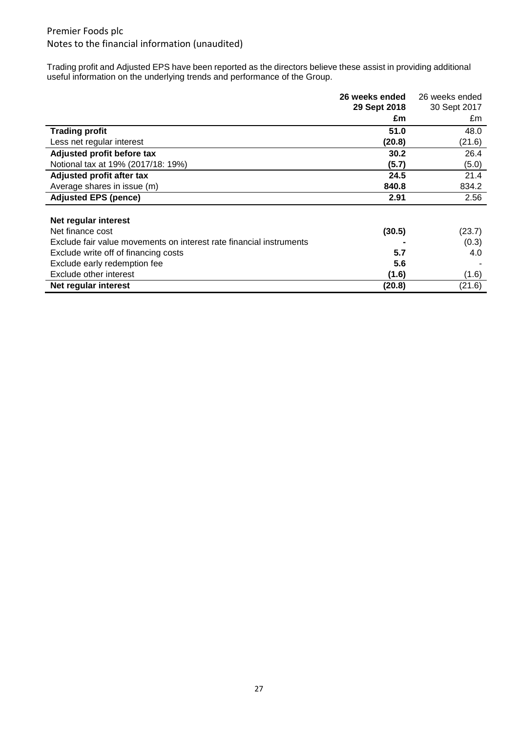Trading profit and Adjusted EPS have been reported as the directors believe these assist in providing additional useful information on the underlying trends and performance of the Group.

|                                                                     | 26 weeks ended<br>29 Sept 2018 | 26 weeks ended<br>30 Sept 2017 |
|---------------------------------------------------------------------|--------------------------------|--------------------------------|
|                                                                     | £m                             | £m                             |
| <b>Trading profit</b>                                               | 51.0                           | 48.0                           |
| Less net regular interest                                           | (20.8)                         | (21.6)                         |
| Adjusted profit before tax                                          | 30.2                           | 26.4                           |
| Notional tax at 19% (2017/18: 19%)                                  | (5.7)                          | (5.0)                          |
| Adjusted profit after tax                                           | 24.5                           | 21.4                           |
| Average shares in issue (m)                                         | 840.8                          | 834.2                          |
| <b>Adjusted EPS (pence)</b>                                         | 2.91                           | 2.56                           |
| Net regular interest                                                |                                |                                |
| Net finance cost                                                    | (30.5)                         | (23.7)                         |
| Exclude fair value movements on interest rate financial instruments |                                | (0.3)                          |
| Exclude write off of financing costs                                | 5.7                            | 4.0                            |
| Exclude early redemption fee                                        | 5.6                            |                                |
| Exclude other interest                                              | (1.6)                          | (1.6)                          |
| Net regular interest                                                | (20.8)                         | (21.6)                         |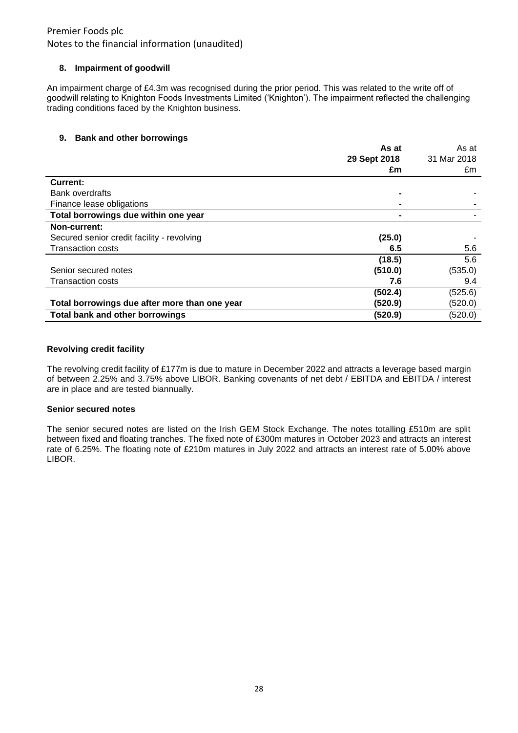## Notes to the financial information (unaudited)

### **8. Impairment of goodwill**

An impairment charge of £4.3m was recognised during the prior period. This was related to the write off of goodwill relating to Knighton Foods Investments Limited ('Knighton'). The impairment reflected the challenging trading conditions faced by the Knighton business.

#### **9. Bank and other borrowings**

|                                               | As at        | As at       |
|-----------------------------------------------|--------------|-------------|
|                                               | 29 Sept 2018 | 31 Mar 2018 |
|                                               | £m           | £m          |
| Current:                                      |              |             |
| <b>Bank overdrafts</b>                        |              |             |
| Finance lease obligations                     |              |             |
| Total borrowings due within one year          |              |             |
| Non-current:                                  |              |             |
| Secured senior credit facility - revolving    | (25.0)       |             |
| <b>Transaction costs</b>                      | 6.5          | 5.6         |
|                                               | (18.5)       | 5.6         |
| Senior secured notes                          | (510.0)      | (535.0)     |
| <b>Transaction costs</b>                      | 7.6          | 9.4         |
|                                               | (502.4)      | (525.6)     |
| Total borrowings due after more than one year | (520.9)      | (520.0)     |
| Total bank and other borrowings               | (520.9)      | (520.0)     |

#### **Revolving credit facility**

The revolving credit facility of £177m is due to mature in December 2022 and attracts a leverage based margin of between 2.25% and 3.75% above LIBOR. Banking covenants of net debt / EBITDA and EBITDA / interest are in place and are tested biannually.

#### **Senior secured notes**

The senior secured notes are listed on the Irish GEM Stock Exchange. The notes totalling £510m are split between fixed and floating tranches. The fixed note of £300m matures in October 2023 and attracts an interest rate of 6.25%. The floating note of £210m matures in July 2022 and attracts an interest rate of 5.00% above LIBOR.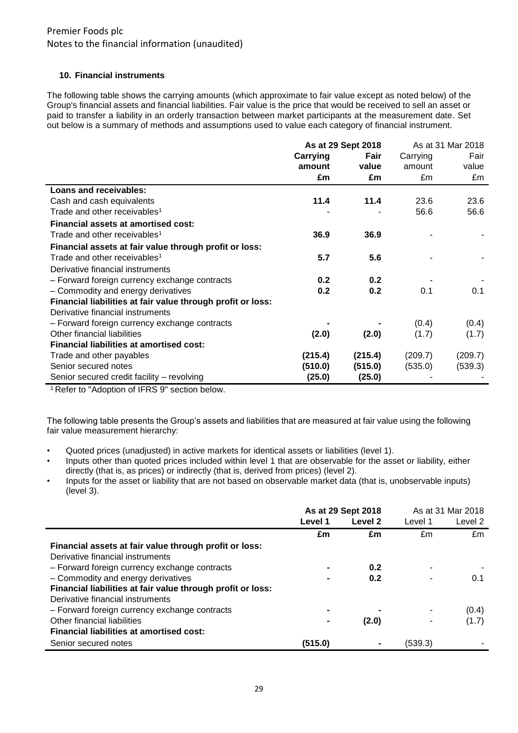## **10. Financial instruments**

The following table shows the carrying amounts (which approximate to fair value except as noted below) of the Group's financial assets and financial liabilities. Fair value is the price that would be received to sell an asset or paid to transfer a liability in an orderly transaction between market participants at the measurement date. Set out below is a summary of methods and assumptions used to value each category of financial instrument.

|                                                             | As at 29 Sept 2018 |         |          | As at 31 Mar 2018 |
|-------------------------------------------------------------|--------------------|---------|----------|-------------------|
|                                                             | Carrying           | Fair    | Carrying | Fair              |
|                                                             | amount             | value   | amount   | value             |
|                                                             | £m                 | £m      | £m       | £m                |
| Loans and receivables:                                      |                    |         |          |                   |
| Cash and cash equivalents                                   | 11.4               | 11.4    | 23.6     | 23.6              |
| Trade and other receivables <sup>1</sup>                    |                    |         | 56.6     | 56.6              |
| <b>Financial assets at amortised cost:</b>                  |                    |         |          |                   |
| Trade and other receivables <sup>1</sup>                    | 36.9               | 36.9    |          |                   |
| Financial assets at fair value through profit or loss:      |                    |         |          |                   |
| Trade and other receivables <sup>1</sup>                    | 5.7                | 5.6     |          |                   |
| Derivative financial instruments                            |                    |         |          |                   |
| - Forward foreign currency exchange contracts               | 0.2                | 0.2     |          |                   |
| - Commodity and energy derivatives                          | 0.2                | 0.2     | 0.1      | 0.1               |
| Financial liabilities at fair value through profit or loss: |                    |         |          |                   |
| Derivative financial instruments                            |                    |         |          |                   |
| - Forward foreign currency exchange contracts               |                    |         | (0.4)    | (0.4)             |
| Other financial liabilities                                 | (2.0)              | (2.0)   | (1.7)    | (1.7)             |
| <b>Financial liabilities at amortised cost:</b>             |                    |         |          |                   |
| Trade and other payables                                    | (215.4)            | (215.4) | (209.7)  | (209.7)           |
| Senior secured notes                                        | (510.0)            | (515.0) | (535.0)  | (539.3)           |
| Senior secured credit facility - revolving                  | (25.0)             | (25.0)  |          |                   |

<sup>1</sup> Refer to "Adoption of IFRS 9" section below.

The following table presents the Group's assets and liabilities that are measured at fair value using the following fair value measurement hierarchy:

- Quoted prices (unadjusted) in active markets for identical assets or liabilities (level 1).
- Inputs other than quoted prices included within level 1 that are observable for the asset or liability, either directly (that is, as prices) or indirectly (that is, derived from prices) (level 2).
- Inputs for the asset or liability that are not based on observable market data (that is, unobservable inputs) (level 3).

|                                                             | As at 29 Sept 2018 |         | As at 31 Mar 2018 |         |
|-------------------------------------------------------------|--------------------|---------|-------------------|---------|
|                                                             | Level 1            | Level 2 | Level 1           | Level 2 |
|                                                             | £m                 | £m      | £m                | £m      |
| Financial assets at fair value through profit or loss:      |                    |         |                   |         |
| Derivative financial instruments                            |                    |         |                   |         |
| - Forward foreign currency exchange contracts               | $\blacksquare$     | 0.2     |                   |         |
| - Commodity and energy derivatives                          |                    | 0.2     |                   | 0.1     |
| Financial liabilities at fair value through profit or loss: |                    |         |                   |         |
| Derivative financial instruments                            |                    |         |                   |         |
| - Forward foreign currency exchange contracts               | ۰                  |         |                   | (0.4)   |
| Other financial liabilities                                 | $\blacksquare$     | (2.0)   |                   | (1.7)   |
| <b>Financial liabilities at amortised cost:</b>             |                    |         |                   |         |
| Senior secured notes                                        | (515.0)            |         | (539.3)           |         |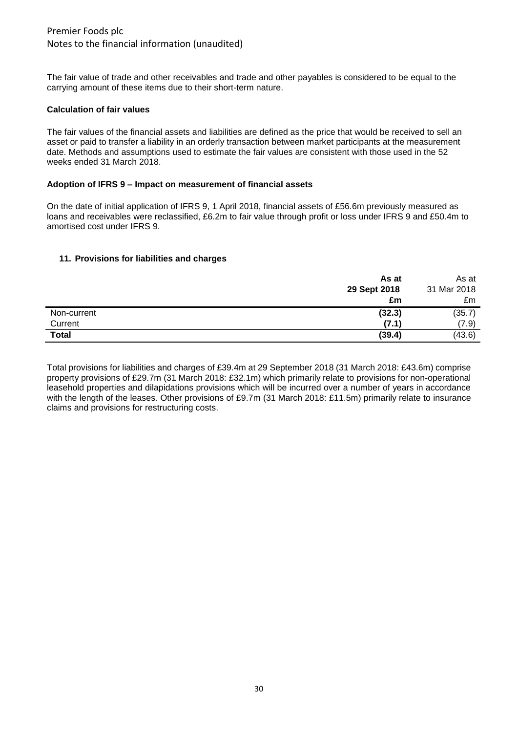The fair value of trade and other receivables and trade and other payables is considered to be equal to the carrying amount of these items due to their short-term nature.

#### **Calculation of fair values**

The fair values of the financial assets and liabilities are defined as the price that would be received to sell an asset or paid to transfer a liability in an orderly transaction between market participants at the measurement date. Methods and assumptions used to estimate the fair values are consistent with those used in the 52 weeks ended 31 March 2018.

#### **Adoption of IFRS 9 – Impact on measurement of financial assets**

On the date of initial application of IFRS 9, 1 April 2018, financial assets of £56.6m previously measured as loans and receivables were reclassified, £6.2m to fair value through profit or loss under IFRS 9 and £50.4m to amortised cost under IFRS 9.

#### **11. Provisions for liabilities and charges**

|              | As at        | As at       |
|--------------|--------------|-------------|
|              | 29 Sept 2018 | 31 Mar 2018 |
|              | £m           | £m          |
| Non-current  | (32.3)       | (35.7)      |
| Current      | (7.1)        | (7.9)       |
| <b>Total</b> | (39.4)       | (43.6)      |

Total provisions for liabilities and charges of £39.4m at 29 September 2018 (31 March 2018: £43.6m) comprise property provisions of £29.7m (31 March 2018: £32.1m) which primarily relate to provisions for non-operational leasehold properties and dilapidations provisions which will be incurred over a number of years in accordance with the length of the leases. Other provisions of £9.7m (31 March 2018: £11.5m) primarily relate to insurance claims and provisions for restructuring costs.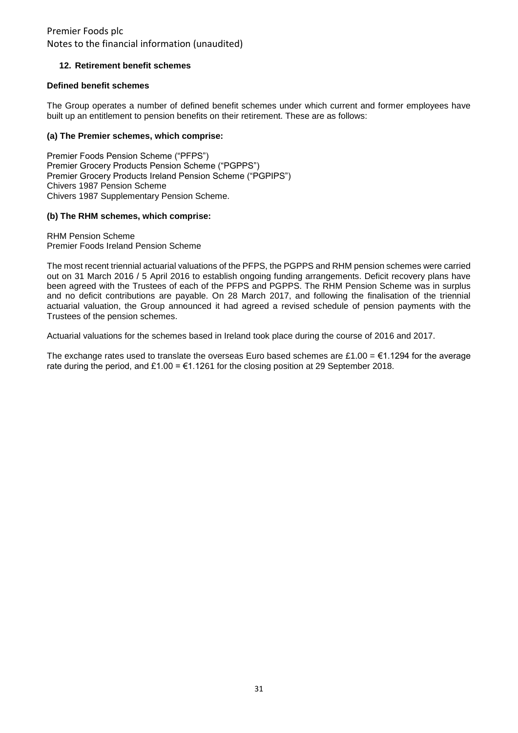### **12. Retirement benefit schemes**

### **Defined benefit schemes**

The Group operates a number of defined benefit schemes under which current and former employees have built up an entitlement to pension benefits on their retirement. These are as follows:

#### **(a) The Premier schemes, which comprise:**

Premier Foods Pension Scheme ("PFPS") Premier Grocery Products Pension Scheme ("PGPPS") Premier Grocery Products Ireland Pension Scheme ("PGPIPS") Chivers 1987 Pension Scheme Chivers 1987 Supplementary Pension Scheme.

### **(b) The RHM schemes, which comprise:**

RHM Pension Scheme Premier Foods Ireland Pension Scheme

The most recent triennial actuarial valuations of the PFPS, the PGPPS and RHM pension schemes were carried out on 31 March 2016 / 5 April 2016 to establish ongoing funding arrangements. Deficit recovery plans have been agreed with the Trustees of each of the PFPS and PGPPS. The RHM Pension Scheme was in surplus and no deficit contributions are payable. On 28 March 2017, and following the finalisation of the triennial actuarial valuation, the Group announced it had agreed a revised schedule of pension payments with the Trustees of the pension schemes.

Actuarial valuations for the schemes based in Ireland took place during the course of 2016 and 2017.

The exchange rates used to translate the overseas Euro based schemes are £1.00 =  $\epsilon$ 1.1294 for the average rate during the period, and  $£1.00 = £1.1261$  for the closing position at 29 September 2018.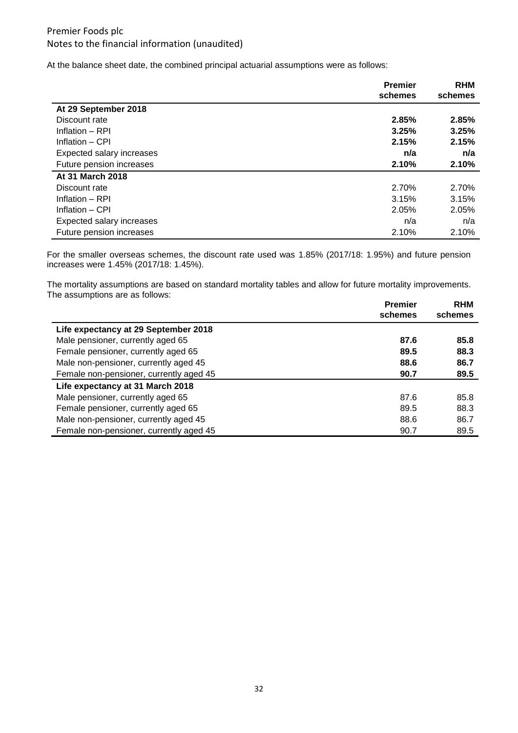At the balance sheet date, the combined principal actuarial assumptions were as follows:

|                           | <b>Premier</b><br>schemes | <b>RHM</b><br>schemes |
|---------------------------|---------------------------|-----------------------|
| At 29 September 2018      |                           |                       |
| Discount rate             | 2.85%                     | 2.85%                 |
| Inflation - RPI           | 3.25%                     | 3.25%                 |
| Inflation - CPI           | 2.15%                     | 2.15%                 |
| Expected salary increases | n/a                       | n/a                   |
| Future pension increases  | 2.10%                     | 2.10%                 |
| At 31 March 2018          |                           |                       |
| Discount rate             | 2.70%                     | 2.70%                 |
| Inflation - RPI           | 3.15%                     | 3.15%                 |
| Inflation - CPI           | 2.05%                     | 2.05%                 |
| Expected salary increases | n/a                       | n/a                   |
| Future pension increases  | 2.10%                     | 2.10%                 |

For the smaller overseas schemes, the discount rate used was 1.85% (2017/18: 1.95%) and future pension increases were 1.45% (2017/18: 1.45%).

The mortality assumptions are based on standard mortality tables and allow for future mortality improvements. The assumptions are as follows:

|                                         | <b>Premier</b><br>schemes | <b>RHM</b><br>schemes |
|-----------------------------------------|---------------------------|-----------------------|
| Life expectancy at 29 September 2018    |                           |                       |
| Male pensioner, currently aged 65       | 87.6                      | 85.8                  |
| Female pensioner, currently aged 65     | 89.5                      | 88.3                  |
| Male non-pensioner, currently aged 45   | 88.6                      | 86.7                  |
| Female non-pensioner, currently aged 45 | 90.7                      | 89.5                  |
| Life expectancy at 31 March 2018        |                           |                       |
| Male pensioner, currently aged 65       | 87.6                      | 85.8                  |
| Female pensioner, currently aged 65     | 89.5                      | 88.3                  |
| Male non-pensioner, currently aged 45   | 88.6                      | 86.7                  |
| Female non-pensioner, currently aged 45 | 90.7                      | 89.5                  |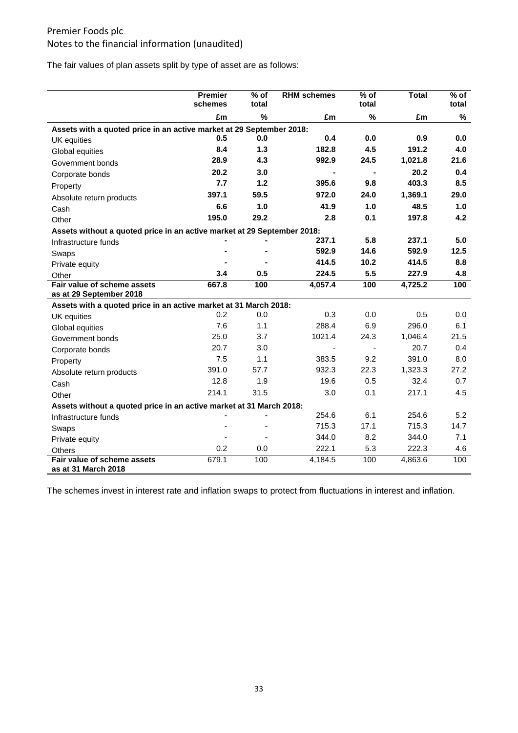The fair values of plan assets split by type of asset are as follows:

|                                                                         | <b>Premier</b><br>schemes | $%$ of<br>total | <b>RHM</b> schemes | $%$ of<br>total | <b>Total</b> | $%$ of<br>total |
|-------------------------------------------------------------------------|---------------------------|-----------------|--------------------|-----------------|--------------|-----------------|
|                                                                         | £m                        | $\%$            | £m                 | %               | £m           | $\%$            |
| Assets with a quoted price in an active market at 29 September 2018:    |                           |                 |                    |                 |              |                 |
| UK equities                                                             | 0.5                       | 0.0             | 0.4                | 0.0             | 0.9          | 0.0             |
| Global equities                                                         | 8.4                       | 1.3             | 182.8              | 4.5             | 191.2        | 4.0             |
| Government bonds                                                        | 28.9                      | 4.3             | 992.9              | 24.5            | 1,021.8      | 21.6            |
| Corporate bonds                                                         | 20.2                      | 3.0             |                    |                 | 20.2         | 0.4             |
| Property                                                                | 7.7                       | 1.2             | 395.6              | 9.8             | 403.3        | 8.5             |
| Absolute return products                                                | 397.1                     | 59.5            | 972.0              | 24.0            | 1,369.1      | 29.0            |
| Cash                                                                    | 6.6                       | 1.0             | 41.9               | 1.0             | 48.5         | 1.0             |
| Other                                                                   | 195.0                     | 29.2            | 2.8                | 0.1             | 197.8        | 4.2             |
| Assets without a quoted price in an active market at 29 September 2018: |                           |                 |                    |                 |              |                 |
| Infrastructure funds                                                    |                           |                 | 237.1              | 5.8             | 237.1        | 5.0             |
| Swaps                                                                   |                           |                 | 592.9              | 14.6            | 592.9        | 12.5            |
| Private equity                                                          |                           |                 | 414.5              | 10.2            | 414.5        | 8.8             |
| Other                                                                   | 3.4                       | 0.5             | 224.5              | 5.5             | 227.9        | 4.8             |
| Fair value of scheme assets                                             | 667.8                     | 100             | 4,057.4            | 100             | 4,725.2      | 100             |
| as at 29 September 2018                                                 |                           |                 |                    |                 |              |                 |
| Assets with a quoted price in an active market at 31 March 2018:        | 0.2                       | 0.0             | 0.3                | 0.0             | 0.5          | 0.0             |
| UK equities                                                             | 7.6                       | 1.1             | 288.4              | 6.9             | 296.0        | 6.1             |
| Global equities                                                         | 25.0                      | 3.7             | 1021.4             | 24.3            | 1,046.4      | 21.5            |
| Government bonds                                                        |                           |                 |                    |                 |              |                 |
| Corporate bonds                                                         | 20.7                      | 3.0             |                    |                 | 20.7         | 0.4             |
| Property                                                                | 7.5                       | 1.1             | 383.5              | 9.2             | 391.0        | 8.0             |
| Absolute return products                                                | 391.0                     | 57.7            | 932.3              | 22.3            | 1,323.3      | 27.2            |
| Cash                                                                    | 12.8                      | 1.9             | 19.6               | 0.5             | 32.4         | 0.7             |
| Other                                                                   | 214.1                     | 31.5            | 3.0                | 0.1             | 217.1        | 4.5             |
| Assets without a quoted price in an active market at 31 March 2018:     |                           |                 |                    |                 |              |                 |
| Infrastructure funds                                                    |                           |                 | 254.6              | 6.1             | 254.6        | 5.2             |
| Swaps                                                                   |                           |                 | 715.3              | 17.1            | 715.3        | 14.7            |
| Private equity                                                          |                           |                 | 344.0              | 8.2             | 344.0        | 7.1             |
| <b>Others</b>                                                           | 0.2                       | 0.0             | 222.1              | 5.3             | 222.3        | 4.6             |
| Fair value of scheme assets<br>as at 31 March 2018                      | 679.1                     | 100             | 4,184.5            | 100             | 4,863.6      | 100             |

The schemes invest in interest rate and inflation swaps to protect from fluctuations in interest and inflation.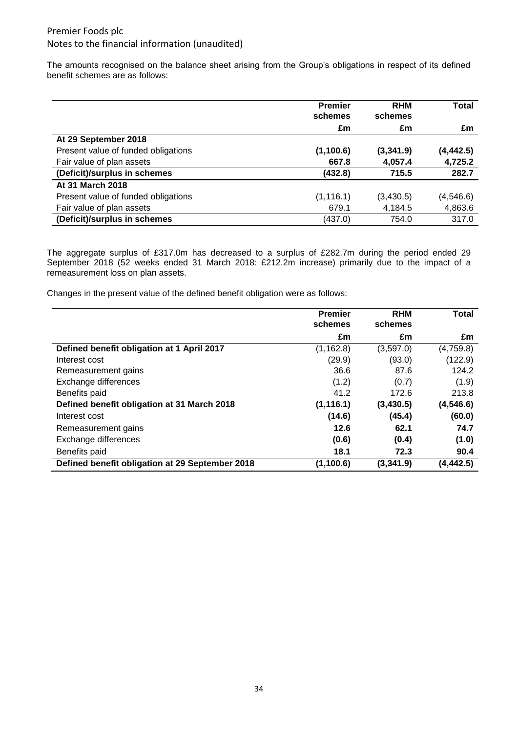The amounts recognised on the balance sheet arising from the Group's obligations in respect of its defined benefit schemes are as follows:

|                                     | <b>Premier</b><br>schemes | <b>RHM</b><br>schemes | Total      |
|-------------------------------------|---------------------------|-----------------------|------------|
|                                     | £m                        | £m                    | £m         |
| At 29 September 2018                |                           |                       |            |
| Present value of funded obligations | (1,100.6)                 | (3,341.9)             | (4, 442.5) |
| Fair value of plan assets           | 667.8                     | 4,057.4               | 4,725.2    |
| (Deficit)/surplus in schemes        | (432.8)                   | 715.5                 | 282.7      |
| At 31 March 2018                    |                           |                       |            |
| Present value of funded obligations | (1, 116.1)                | (3,430.5)             | (4, 546.6) |
| Fair value of plan assets           | 679.1                     | 4,184.5               | 4,863.6    |
| (Deficit)/surplus in schemes        | (437.0)                   | 754.0                 | 317.0      |

The aggregate surplus of £317.0m has decreased to a surplus of £282.7m during the period ended 29 September 2018 (52 weeks ended 31 March 2018: £212.2m increase) primarily due to the impact of a remeasurement loss on plan assets.

Changes in the present value of the defined benefit obligation were as follows:

|                                                 | <b>Premier</b><br>schemes | <b>RHM</b><br>schemes | <b>Total</b> |
|-------------------------------------------------|---------------------------|-----------------------|--------------|
|                                                 | £m                        | £m                    | £m           |
| Defined benefit obligation at 1 April 2017      | (1, 162.8)                | (3,597.0)             | (4,759.8)    |
| Interest cost                                   | (29.9)                    | (93.0)                | (122.9)      |
| Remeasurement gains                             | 36.6                      | 87.6                  | 124.2        |
| Exchange differences                            | (1.2)                     | (0.7)                 | (1.9)        |
| Benefits paid                                   | 41.2                      | 172.6                 | 213.8        |
| Defined benefit obligation at 31 March 2018     | (1, 116.1)                | (3,430.5)             | (4, 546.6)   |
| Interest cost                                   | (14.6)                    | (45.4)                | (60.0)       |
| Remeasurement gains                             | 12.6                      | 62.1                  | 74.7         |
| Exchange differences                            | (0.6)                     | (0.4)                 | (1.0)        |
| Benefits paid                                   | 18.1                      | 72.3                  | 90.4         |
| Defined benefit obligation at 29 September 2018 | (1,100.6)                 | (3,341.9)             | (4,442.5)    |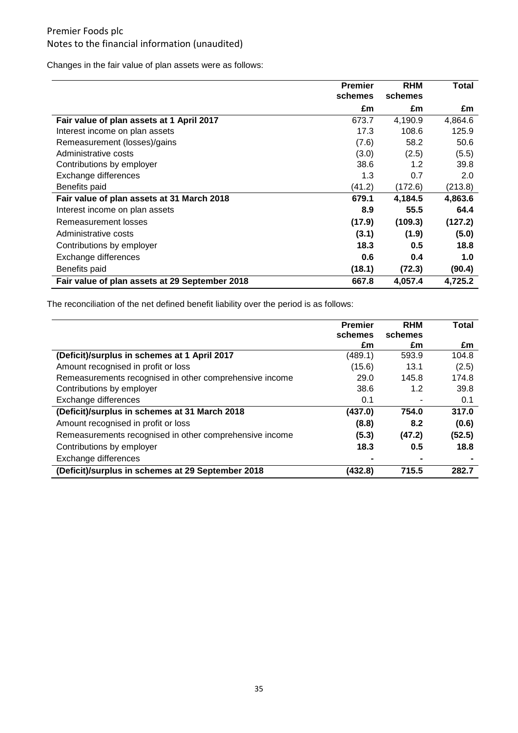Changes in the fair value of plan assets were as follows:

|                                                | <b>Premier</b> | <b>RHM</b> | Total   |
|------------------------------------------------|----------------|------------|---------|
|                                                | schemes        | schemes    |         |
|                                                | £m             | £m         | £m      |
| Fair value of plan assets at 1 April 2017      | 673.7          | 4,190.9    | 4,864.6 |
| Interest income on plan assets                 | 17.3           | 108.6      | 125.9   |
| Remeasurement (losses)/gains                   | (7.6)          | 58.2       | 50.6    |
| Administrative costs                           | (3.0)          | (2.5)      | (5.5)   |
| Contributions by employer                      | 38.6           | 1.2        | 39.8    |
| Exchange differences                           | 1.3            | 0.7        | 2.0     |
| Benefits paid                                  | (41.2)         | (172.6)    | (213.8) |
| Fair value of plan assets at 31 March 2018     | 679.1          | 4,184.5    | 4,863.6 |
| Interest income on plan assets                 | 8.9            | 55.5       | 64.4    |
| Remeasurement losses                           | (17.9)         | (109.3)    | (127.2) |
| Administrative costs                           | (3.1)          | (1.9)      | (5.0)   |
| Contributions by employer                      | 18.3           | 0.5        | 18.8    |
| Exchange differences                           | 0.6            | 0.4        | 1.0     |
| Benefits paid                                  | (18.1)         | (72.3)     | (90.4)  |
| Fair value of plan assets at 29 September 2018 | 667.8          | 4,057.4    | 4,725.2 |

The reconciliation of the net defined benefit liability over the period is as follows:

|                                                         | <b>Premier</b> | <b>RHM</b>    | Total  |
|---------------------------------------------------------|----------------|---------------|--------|
|                                                         | schemes<br>£m  | schemes<br>£m | £m     |
| (Deficit)/surplus in schemes at 1 April 2017            | (489.1)        | 593.9         | 104.8  |
| Amount recognised in profit or loss                     | (15.6)         | 13.1          | (2.5)  |
| Remeasurements recognised in other comprehensive income | 29.0           | 145.8         | 174.8  |
| Contributions by employer                               | 38.6           | 1.2           | 39.8   |
| Exchange differences                                    | 0.1            |               | 0.1    |
| (Deficit)/surplus in schemes at 31 March 2018           | (437.0)        | 754.0         | 317.0  |
| Amount recognised in profit or loss                     | (8.8)          | 8.2           | (0.6)  |
| Remeasurements recognised in other comprehensive income | (5.3)          | (47.2)        | (52.5) |
| Contributions by employer                               | 18.3           | 0.5           | 18.8   |
| Exchange differences                                    |                |               |        |
| (Deficit)/surplus in schemes at 29 September 2018       | (432.8)        | 715.5         | 282.7  |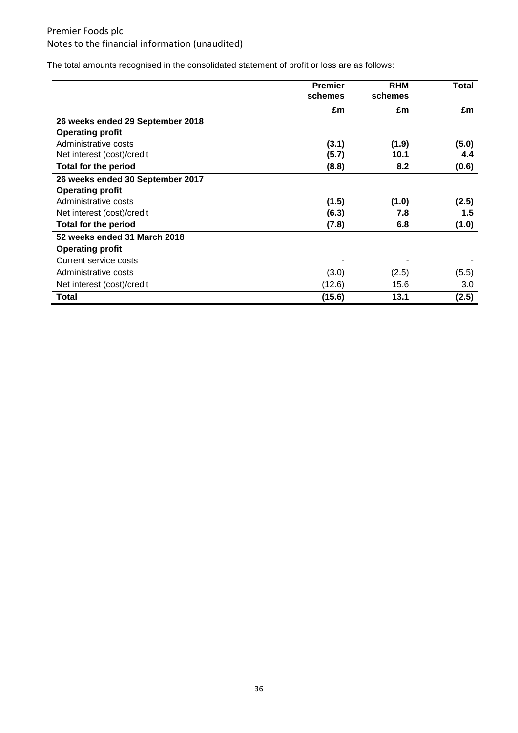The total amounts recognised in the consolidated statement of profit or loss are as follows:

|                                  | <b>Premier</b> | <b>RHM</b> | Total |
|----------------------------------|----------------|------------|-------|
|                                  | schemes        | schemes    |       |
|                                  | £m             | £m         | £m    |
| 26 weeks ended 29 September 2018 |                |            |       |
| <b>Operating profit</b>          |                |            |       |
| Administrative costs             | (3.1)          | (1.9)      | (5.0) |
| Net interest (cost)/credit       | (5.7)          | 10.1       | 4.4   |
| <b>Total for the period</b>      | (8.8)          | 8.2        | (0.6) |
| 26 weeks ended 30 September 2017 |                |            |       |
| <b>Operating profit</b>          |                |            |       |
| Administrative costs             | (1.5)          | (1.0)      | (2.5) |
| Net interest (cost)/credit       | (6.3)          | 7.8        | 1.5   |
| <b>Total for the period</b>      | (7.8)          | 6.8        | (1.0) |
| 52 weeks ended 31 March 2018     |                |            |       |
| <b>Operating profit</b>          |                |            |       |
| Current service costs            |                |            |       |
| Administrative costs             | (3.0)          | (2.5)      | (5.5) |
| Net interest (cost)/credit       | (12.6)         | 15.6       | 3.0   |
| <b>Total</b>                     | (15.6)         | 13.1       | (2.5) |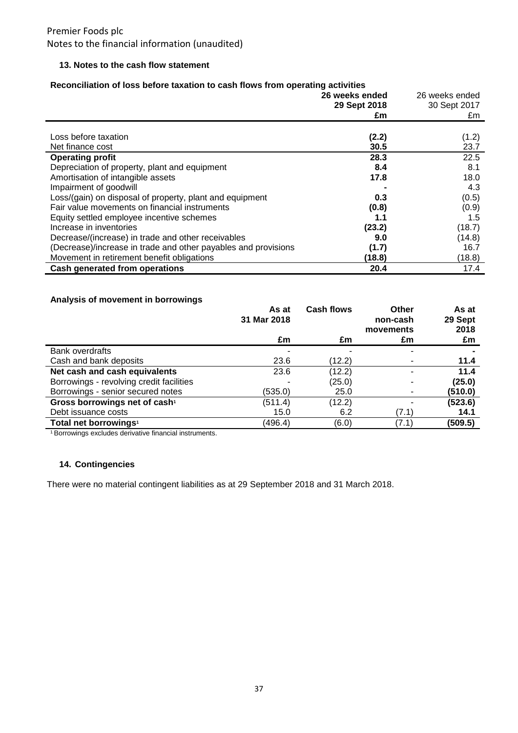## **13. Notes to the cash flow statement**

| <u>Reconciliation of 1033 before taxation to cash hows from operating activities</u> | 26 weeks ended<br>29 Sept 2018<br>£m | 26 weeks ended<br>30 Sept 2017<br>£m |
|--------------------------------------------------------------------------------------|--------------------------------------|--------------------------------------|
| Loss before taxation                                                                 | (2.2)                                | (1.2)                                |
| Net finance cost                                                                     | 30.5                                 | 23.7                                 |
| <b>Operating profit</b>                                                              | 28.3                                 | 22.5                                 |
| Depreciation of property, plant and equipment                                        | 8.4                                  | 8.1                                  |
| Amortisation of intangible assets                                                    | 17.8                                 | 18.0                                 |
| Impairment of goodwill                                                               |                                      | 4.3                                  |
| Loss/(gain) on disposal of property, plant and equipment                             | 0.3                                  | (0.5)                                |
| Fair value movements on financial instruments                                        | (0.8)                                | (0.9)                                |
| Equity settled employee incentive schemes                                            | 1.1                                  | 1.5                                  |
| Increase in inventories                                                              | (23.2)                               | (18.7)                               |
| Decrease/(increase) in trade and other receivables                                   | 9.0                                  | (14.8)                               |
| (Decrease)/increase in trade and other payables and provisions                       | (1.7)                                | 16.7                                 |
| Movement in retirement benefit obligations                                           | (18.8)                               | (18.8)                               |
| Cash generated from operations                                                       | 20.4                                 | 17.4                                 |

# **Reconciliation of loss before taxation to cash flows from operating activities**

#### **Analysis of movement in borrowings**

|                                           | As at<br>31 Mar 2018 | <b>Cash flows</b> | <b>Other</b><br>non-cash<br>movements | As at<br>29 Sept<br>2018 |
|-------------------------------------------|----------------------|-------------------|---------------------------------------|--------------------------|
|                                           | £m                   | £m                | £m                                    | £m                       |
| <b>Bank overdrafts</b>                    |                      |                   |                                       |                          |
| Cash and bank deposits                    | 23.6                 | (12.2)            |                                       | 11.4                     |
| Net cash and cash equivalents             | 23.6                 | (12.2)            | -                                     | 11.4                     |
| Borrowings - revolving credit facilities  |                      | (25.0)            |                                       | (25.0)                   |
| Borrowings - senior secured notes         | (535.0)              | 25.0              | -                                     | (510.0)                  |
| Gross borrowings net of cash <sup>1</sup> | (511.4)              | (12.2)            |                                       | (523.6)                  |
| Debt issuance costs                       | 15.0                 | 6.2               | (7.1)                                 | 14.1                     |
| Total net borrowings <sup>1</sup>         | (496.4)              | (6.0)             | (7.1)                                 | (509.5)                  |

<sup>1</sup>Borrowings excludes derivative financial instruments.

#### **14. Contingencies**

There were no material contingent liabilities as at 29 September 2018 and 31 March 2018.